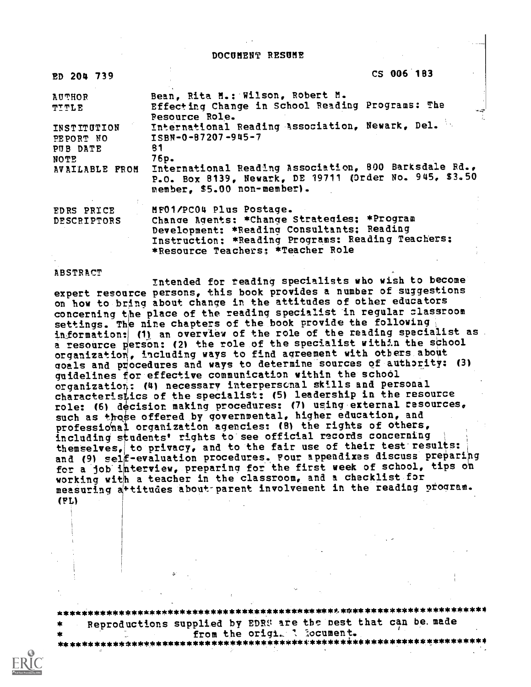DOCUMENT RESUME

| ED 204 739                           | CS 006 183                                                                                                                                                                          |
|--------------------------------------|-------------------------------------------------------------------------------------------------------------------------------------------------------------------------------------|
| <b>AUTHOR</b><br>TITLE               | Bean, Rita M.: Wilson, Robert M.<br>Effecting Change in School Reading Programs: The<br>خيب<br><b>Pesource Role.</b>                                                                |
| INSTITUTION<br>PEPORT NO<br>PUB DATE | International Reading Association, Newark, Del.<br>$ISBN - 0 - 87207 - 945 - 7$<br>81                                                                                               |
| NOTE<br><b>AVAILABLE FROM</b>        | 76p.<br>International Reading Association, 800 Barksdale Rd.,<br>P.O. Box 8139, Newark, DE 19711 (Order No. 945, \$3.50<br>member. \$5.00 non-member).                              |
| <b>EDRS PRICE</b>                    | MF01/PC04 Plus Postage.                                                                                                                                                             |
| DESCRIPTORS                          | Change Agents: *Change Strategies: *Program<br>Development: *Reading Consultants; Reading<br>Instruction: *Reading Programs: Reading Teachers:<br>*Resource Teachers; *Teacher Role |

ABSTRACT

i

Intended for reading specialists who wish to become expert resource persons, this book provides a number of suggestions on how to bring about change in the attitudes of other educators concerning the place of the reading specialist in regular classroom settings. The nine chapters of the book provide the following information: (1) an overview of the role of the reading specialist as .<br>a resource person: (2) the role of the specialist with:n the school organization, including ways to find agreement with others about goals and procedures and ways to determine sources of authority: (3) guidelines for effective communication within the school organization: (4) necessary interpersonal skills and personal characteristics of the specialist: (5) leadership in the resource role: (6) decisior making procedures: (7) using external resources, such as those offered by governmental, higher education, and professional organization agencies: (8) the rights of others, including students' rights to see official records concerning themselves, to privacy, and to the fair use of their test results: and (9) self-evaluation procedures. Four appendixes discuss preparing for a job interview, preparing for the first week of school, tips on working with a teacher in the classroom, and a checklist for measuring attitudes about parent involvement in the reading program. (FL)

\*\*\*\*\*\*\*\*\*\*\*\*\*\*\* \* \* \* \* \* \* \* \* \* \* \* \* \* \* \* \* \* \* \* \* \* \* \* \*\* \* \* \* \* \*t \*\* \* \* \* \* \* \* \* \* \* \* \* \* \* \* \* \* \* \* \* \* \*4 Reproductions supplied by EDRS are the pest that can be. made

from the origi. A locument. \*\*\*\*\*\*\*\*\*\*\*\*\*\*\*\*\*\*\*\*\*\*\*\*\*\*\*\*\*\*\*\*\*\*\*\*\*\*\*\*\*\*\*\*\*\*\*\*\*\*\*\*\*\*\*\*\*\*\*\*\*\*\*\*\*\*\*\*\*\*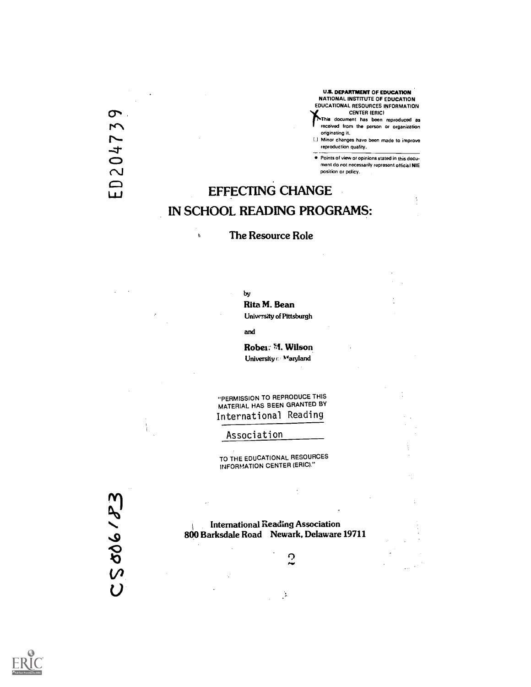U.S. DEPARTMENT OF EDUCATION NATIONAL INSTITUTE OF EDUCATION EDUCATIONAL RESOURCES INFORMATION U.S. DEPARTMENT OF EDUCATION<br>
EDUCATIONAL RESOURCES INFORMATION<br>
CENTER (ERIC)<br>
CENTER (ERIC)<br>
This document has been made to improve<br>
only only and the person or organization<br>
only the production quality.<br>
Center of the p

received from the person or organization

originating it.<br>[.] Minor changes have been made to improve

CENTER (ERIC)<br>
CENTER (ERIC)<br>
This document has been reproduced as<br>
originating it.<br>
CHANGE<br>
CHANGE<br>
CHANGE<br>
CHANGE Points of view or opinions stated in this documont do not necessarily represent official NIE position or policy.

# EFFECTING CHANGE IN SCHOOL READING PROGRAMS:

#### The Resource Role

by

 $\theta$ 

Rita M. Bean

University of Pittsburgh

and

Rober: M. Wilson University  $\odot$   $\ensuremath{\mathsf{N}}\xspace^i$  ary<br>land

"PERMISSION TO REPRODUCE THIS MATERIAL HAS BEEN GRANTED BY International Reading

Association

TO THE EDUCATIONAL RESOURCES INFORMATION CENTER (ERIC)."

25006183

International Reading Association 800 Barksdale Road Newark, Delaware 19711

 $\mathbb{R}$ 

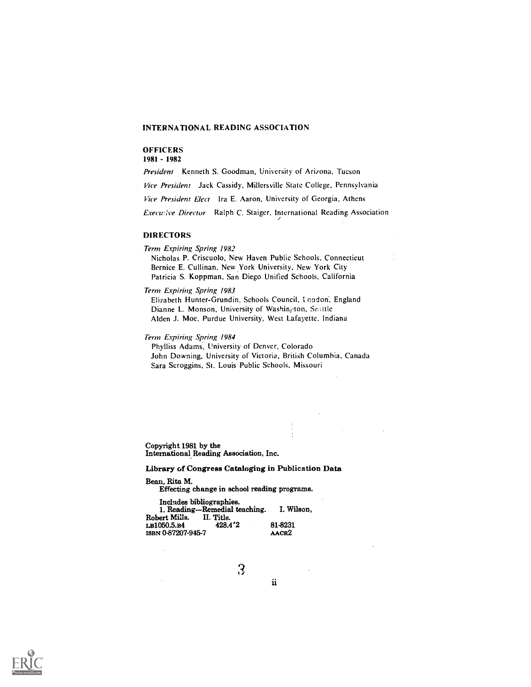#### INTERNATIONAL READING ASSOCIATION

#### **OFFICERS**

1981 - 1982

President Kenneth S. Goodman, University of Arizona, Tucson

Vice President Jack Cassidy, Millersville State College, Pennsylvania

Vice President Elect Ira E. Aaron, University of Georgia, Athens

Executive Director Ralph C. Staiger, International Reading Association

#### DIRECTORS

Term Expiring Spring 1982

Nicholas P. Criscuolo, New Haven Public Schools, Connecticut Bernice E. Cullinan, New ,York University, New York City Patricia S. Koppman, San Diego Unified Schools, California

Term Expiring Spring 1983

Elizabeth Hunter-Grundin, Schools Council, I oodon, England Dianne L. Monson, University of Washington, Scattle Alden J. Moe, Purdue University, West Lafayette, Indiana

Term Expiring Spring 1984

Phylliss Adams, University of Denver, Colorado John Downing, University of Victoria, British Columbia, Canada Sara Scroggins, St. Louis Public Schools, Missouri

Copyright 1981 by the International Reading Association, Inc.

#### Library of Congress Cataloging in Publication Data

Bean, Rita M.

Effecting change in school reading programs.

| Includes bibliographies. |                               |                   |  |
|--------------------------|-------------------------------|-------------------|--|
|                          | 1. Reading-Remedial teaching. | I. Wilson.        |  |
| Robert Mills.            | II. Title.                    |                   |  |
| rb1050.5.b4              | 428.4'2                       | 81-8231           |  |
| isbn 0-87207-945-7       |                               | AACR <sub>2</sub> |  |

3

 $\ddot{\mathbf{i}}$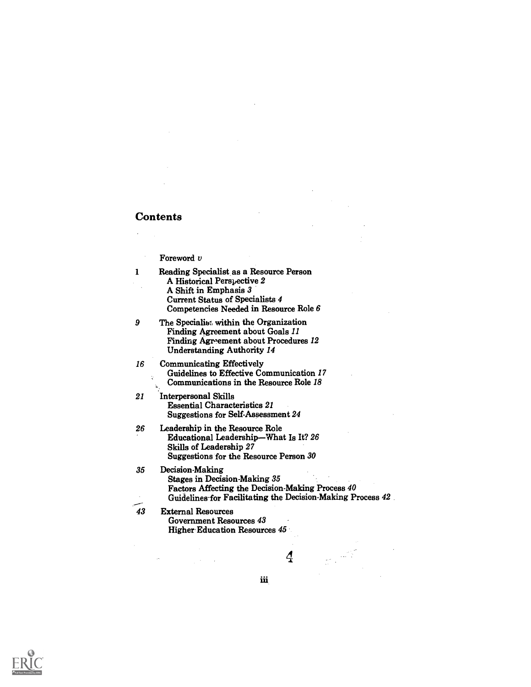#### **Contents**

#### Foreword v

- <sup>1</sup> Reading Specialist, as a Resource Person A Historical Perspective 2 A Shift in Emphasis 3 Current Status of Specialists 4 Competencies Needed in Resource Role 6
- 9 The Specialist within the Organization Finding Agreement about Goals 11 Finding Agreement about Procedures 12 Understanding Authority 14
- 16 Communicating Effectively Guidelines to Effective Communication 17 ÿ. Communications in the Resource Role 18
- 21 Interpersonal Skills Essential Characteristics 21 Suggestions for Self-Assessment 24
- 26 Leadership in the Resource Role Educational Leadership-What Is It? 26 Skills of Leadership 27 Suggestions for the Resource Person 30
- 35 Decision-Making Stages in Decision-Making 35 Factors Affecting the Decision-Making Process 40 Guidelines-for Facilitating the Decision-Making Process 42.

iii

43 External Resources Government Resources 43 Higher Education Resources 45

 $\boldsymbol{A}$ 

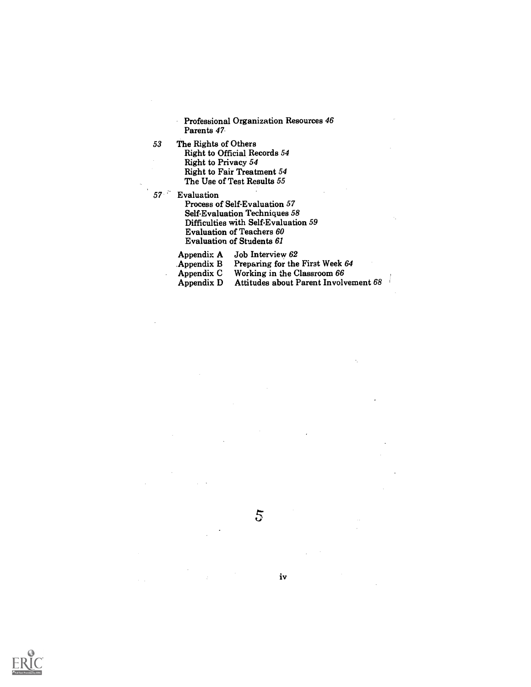Professional Organization Resources 46 Parents 47

- 53 The Rights of Others Right to Official Records 54 Right to Privacy 54 Right to Fair Treatment 54 The Use of Test Results 55
- 57 Evaluation

 $\ddot{\phantom{a}}$ 

Process of Self-Evaluation 57 Self-Evaluation Techniques 58 Difficulties with Self-Evaluation 59 Evaluation of Teachers 60 Evaluation of Students <sup>61</sup>

Appendix A Job Interview 62

Appendix B Preparing for the First Week 64

Appendix C Working in the Classroom 66

Appendix D Attitudes about Parent Involvement 68



iv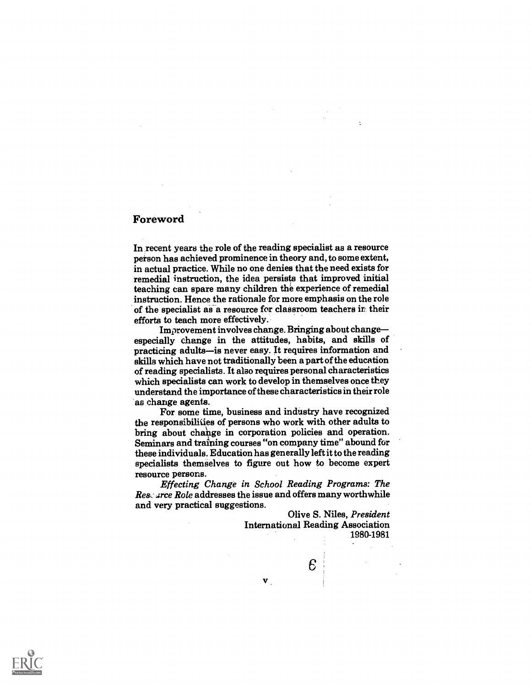#### Foreword

In recent years the role of the reading specialist as a resource person has achieved prominence in theory and, to some extent, in actual practice. While no one denies that the need exists for remedial instruction, the idea persists that improved initial teaching can spare many children the experience of remedial instruction. Hence the rationale for more emphasis on the role of the specialist as a resource for classroom teachers in their efforts to teach more effectively.<br>Improvement involves change. Bringing about change-

especially change in the attitudes, habits, and skills of practicing adults-is never easy. It requires information and skills which have not traditionally been a part of the education of reading specialists. It also requires personal characteristics which specialists can work to develop in themselves once they understand the importance of these characteristics in their role as change agents. For some time, business and industry have recognized

the responsibilities of persons who work with other adults to bring about change in corporation policies and operation. Seminars and training courses "on company time" abound for these individuals. Education has generally left it to the reading specialists themselves to figure out how to become expert resource persons.

Effecting Change in School Reading Programs: The Researce Role addresses the issue and offers many worthwhile and very practical suggestions.

 $\mathbf{v}$ 

Olive S. Niles, President International Reading Association 1980-1981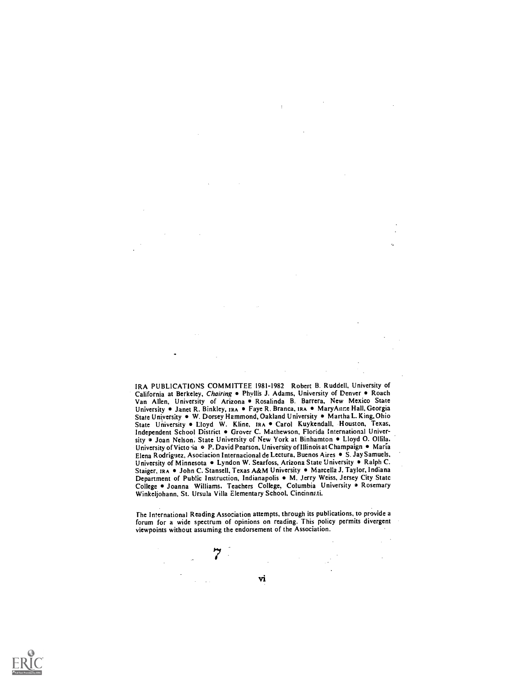IRA PUBLICATIONS COMMITTEE 1981-1982 Robert B. Ruddell, University of California at Berkeley, Chairing . Phyllis J. Adams, University of Denver . Roach Van Allen, University of Arizona . Rosalinda B. Barrera, New Mexico State University • Janet R. Binkley, IRA • Faye R. Branca, IRA • Mary Anne Hall, Georgia State University . W. Dorsey Hammond, Oakland University . Martha L. King, Ohio State University . Lloyd W. Kline, IRA . Carol Kuykendall, Houston, Texas, Independent School District . Grover C. Mathewson, Florida International University . Joan Nelson, State University of New York at Binhamton . Lloyd O. Ollila. University of Victo ia · P. David Pearson, University of Illinois at Champaign · Maria Elena Rodriguez, Asociacion Internacional de Lectura, Buenos Aires · S. Jay Samuels, University of Minnesota . Lyndon W. Searfoss, Arizona State University . Ralph C. Staiger, IRA · John C. Stansell, Texas A&M University · Marcella J. Taylor, Indiana Department of Public Instruction, Indianapolis . M. , terry Weiss, Jersey City Statc College . Joanna Williams. Teachers College, Columbia University . Rosemary Winkeljohann, St. Ursula Villa Elementary School, Cincinnati.

The International Reading Association attempts, through its publications, to provide a forum for a wide spectrum of opinions on reading. This policy permits divergent viewpoints without assuming the endorsement of the Association.

7



Vi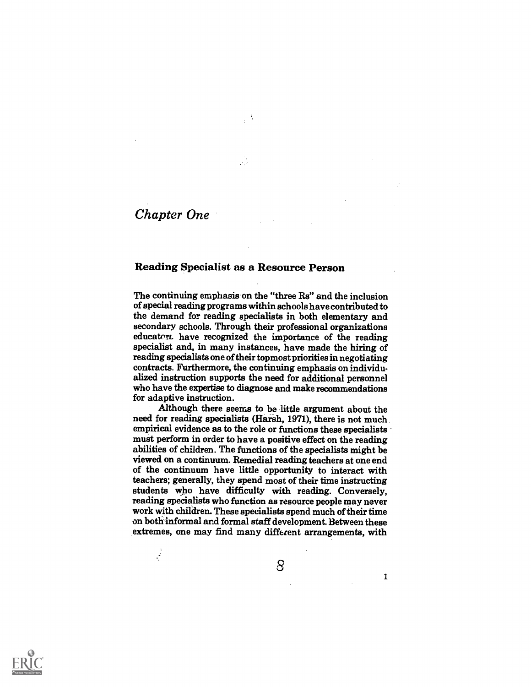# Chapter One

 $\frac{1}{2}$ 

#### Reading Specialist as a Resource Person

The continuing emphasis on the "three Rs" and the inclusion of special reading programs within schools have contributed to the demand for reading specialists in both elementary and secondary schools. Through their professional organizations educator. have recognized the importance of the reading specialist and, in many instances, have made the hiring of reading specialists one of their topmost priorities in negotiating contracts. Furthermore, the continuing emphasis on individualized instruction supports the need for additional personnel who have the expertise to diagnose and make recommendations for adaptive instruction.

Although there seems to be little argument about the need for reading specialists (Harsh, 1971), there is not much empirical evidence as to the role or functions these specialists must perform in order to have a positive effect on the reading abilities of children. The functions of the specialists might be viewed on a continuum. Remedial reading teachers at one end of the continuum have little opportunity to interact with teachers; generally, they spend most of their time instructing students who have difficulty with reading. Conversely, reading specialists who function as resource people may never work with children. These specialists spend much of their time on bothinformal and formal staff development. Between these extremes, one may find many different arrangements, with

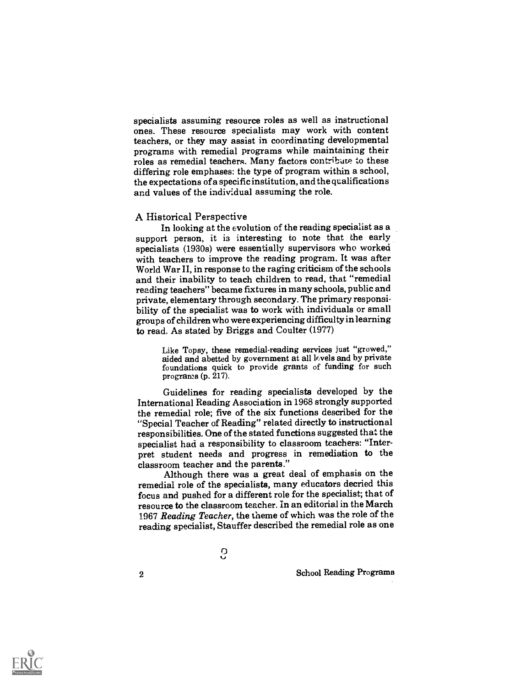specialists assuming resource roles as well as instructional ones. These resource specialists may work with content teachers, or they may assist in coordinating developmental programs with remedial programs while maintaining their roles as remedial teachers. Many factors contribute to these differing role emphases: the type of program within a school, the expectations of a specific institution, and the qualifications and values of the individual assuming the role.

#### A Historical Perspective

In looking at the evolution of the reading specialist as a support person, it is interesting to note that the early specialists (1930s) were essentially supervisors who worked with teachers to improve the reading program. It was after World War II, in response to the raging criticism of the schools and their inability to teach children to read, that "remedial reading teachers" became fixtures in many schools, public and private, elementary through secondary. The primary responsibility of the specialist was to work with individuals or small groups of children who were experiencing difficulty in learning to read. As stated by Briggs and Coulter (1977)

Like Topsy, these remedial-reading services just "growed," aided and abetted by government at all lr.vels and by private foundations quick to provide grants of funding for such programs (p. 217).

Guidelines for reading specialists developed by the International Reading Association in 1968 strongly supported the remedial role; five of the six functions described for the "Special Teacher of Reading" related directly to instructional responsibilities. One of the stated functions suggested that the specialist had a responsibility to classroom teachers: "Interpret student needs and progress in remediation to the classroom teacher and the parents."

Although there was a great deal of emphasis on the remedial role of the specialists, many educators decried this focus and pushed for a different role for the specialist; that of resource to the classroom teacher. In aneditorial in the March 1967 Reading Teacher, the theme of which was the role of the reading specialist, Stauffer described the remedial role as one

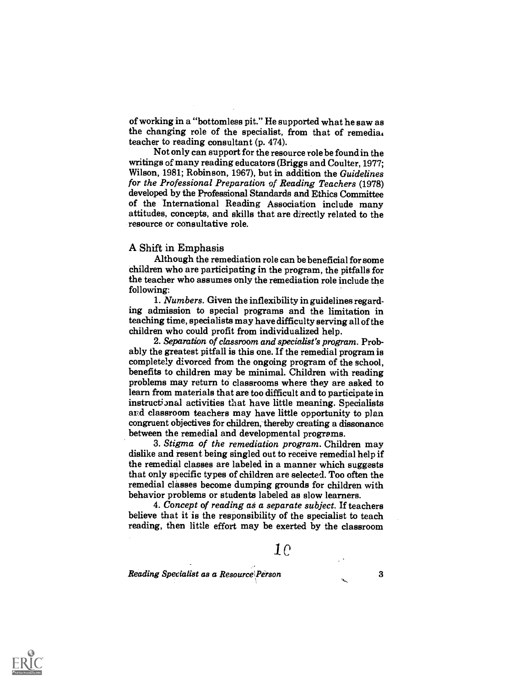of working in a "bottomless pit." He supported what he saw as the changing role of the specialist, from that of remedia. teacher to reading consultant (p. 474).

Not only can support for the resource role be found in the writings of many reading educators (Briggs and Coulter, 1977; Wilson, 1981; Robinson, 1967), but in addition the Guidelines for the Professional Preparation of Reading Teachers (1978) developed by the Professional Standards and Ethics Committee of the International Reading Association include many attitudes, concepts, and skills that are directly related to the resource or consultative role.

#### A Shift in Emphasis

Although the remediation role can be beneficial for some children who are participating in the program, the pitfalls for the teacher who assumes only the remediation role include the following:

1. Numbers. Given the inflexibility in guidelines regarding admission to special programs and the limitation in teaching time, specialists may have difficulty serving all of the children who could profit from individualized help.

2. Separation of classroom and specialist's program. Probably the greatest pitfall is this one. If the remedial program is completely divorced from the ongoing program of the school, benefits to children may be minimal. Children with reading problems may return to classrooms where they are asked to learn from materials that are too difficult and to participate in instructional activities that have little meaning. Specialists and classroom teachers may have little opportunity to plan congruent objectives for children, thereby creating a dissonance between the remedial and developmental programs.

3. Stigma of the remediation program. Children may dislike and resent being singled out to receive remedial help if the remedial classes are labeled in a manner which suggests that only specific types of children are selected. Too often the remedial classes become dumping grounds for children with behavior problems or students labeled as slow learners.

4. Concept of reading as a separate subject. If teachers believe that it is the responsibility of the specialist to teach reading, then little effort may be exerted by the classroom

# 10

Reading Specialist as a Resource Person 3

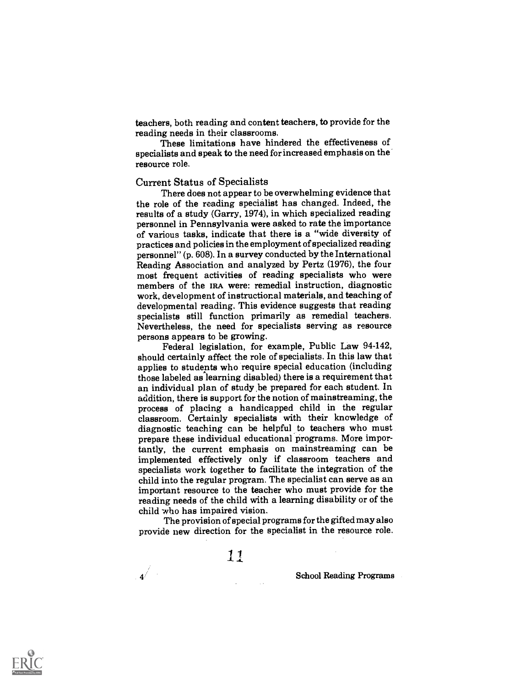teachers, both reading and content teachers, to provide for the reading needs in their classrooms.

These limitations have hindered the effectiveness of specialists and speak to the need for increased emphasis on the resource role.

#### Current Status of Specialists

There does not appear to be overwhelming evidence that the role of the reading specialist has changed. Indeed, the results of a study (Garry, 1974), in which specialized reading personnel in Pennsylvania were asked to rate the importance of various tasks, indicate that there is a "wide diversity of practices and policies in the employment of specialized reading personnel" (p. 608). In a survey conducted by the International Reading Association and analyzed by Pertz (1976), the four most frequent activities of reading specialists who were members of the IRA were: remedial instruction, diagnostic work, development of instructional materials, and teaching of developmental reading. This evidence suggests that reading specialists still function primarily as remedial teachers. Nevertheless, the need for specialists serving as resource

persons appears to be growing. Federal legislation, for example, Public Law 94-142, should certainly affect the role of specialists. In this law that applies to students who require special education (including those labeled as learning disabled) there is a requirement that an individual plan of study be prepared for each student. In addition, there is support for the notion of mainstreaming, the process of placing a handicapped child in the regular classroom. Certainly specialists with their knowledge of diagnostic teaching can be helpful to teachers who must prepare these individual educational programs. More importantly, the current emphasis on mainstreaming can be implemented effectively only if classroom teachers and specialists work together to facilitate the integration of the child into the regular program. The specialist can serve as an important resource to the teacher who must provide for the reading needs of the child with a learning disability or of the child who has impaired vision.

The provision of special programs for the gifted may also provide new direction for the specialist in the resource role.

11

 $\mathbf{4}^{\neq}$ 

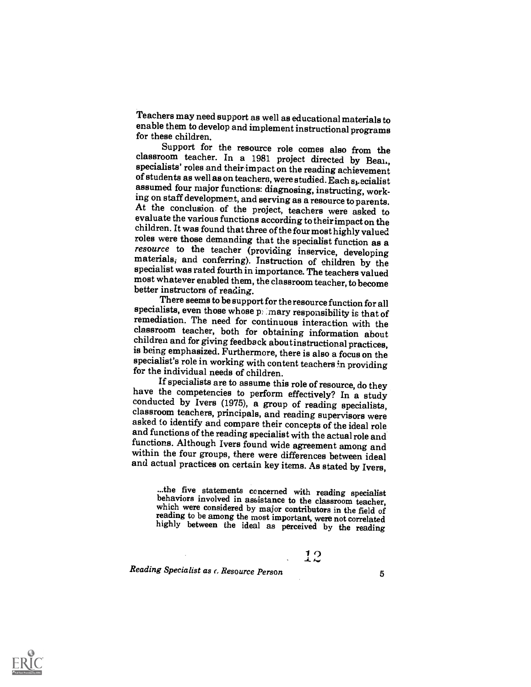Teachers may need support as well as educational materials to enable them to develop and implement instructional programs for these children.

classroom teacher. In a 1981 project directed by Bean, specialists' roles and their impact on the reading achievement of students as well as on teachers, were studied. Each  $s_t$  ecialist assumed four major functions: diag At the conclusion of the project, teachers were asked to evaluate the various functions according to their impact on the children. It was found that three of the four most highly valued<br>roles were those demanding that the specialist function as a resource to the teacher (providing inservice, developing materials, and conferring). Instruction of children by the specialist was rated fourth in importance. The teachers valued most whatever enabled them, the classroom teacher, to become better instructors of reading.

specialists, even those whose  $p_i$  mary responsibility is that of remediation. The need for continuous interaction with the classroom teacher, both for obtaining information about children and for giving feedback about in for the individual needs of children.

have the competencies to perform effectively? In a study conducted by Ivers (1975), a group of reading specialists, classroom teachers, principals, and reading supervisors were asked to identify and compare their concepts within the four groups, there were differences between ideal and actual practices on certain key items. As stated by Ivers,

...the five statements concerned with reading specialist<br>behaviors involved in assistance to the classroom teacher,<br>which were considered by major contributors in the field of<br>reading to be among the most important, were n

 $12$ 

Reading Specialist as c. Resource Person 5

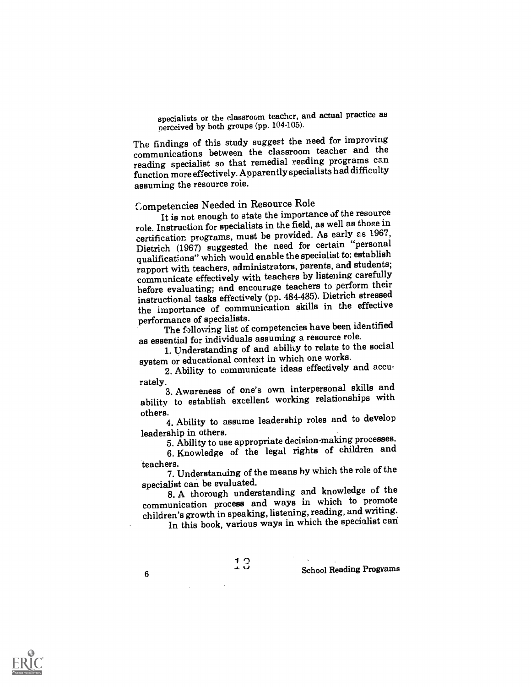specialists or the classroom teacher, and actual practice as perceived by both groups (pp. 104-105).

The findings of this study suggest the need for improving communications between the classroom teacher and the reading specialist so that remedial reading programs can function more effectively. Apparently specialists had difficulty assuming the resource role.

# Competencies Needed in Resource Role

It is not enough to state the importance of the resource role. Instruction for specialists in the field, as well as those in certification programs, must be provided. As early  $\varepsilon$ s 1967, Dietrich (1967) suggested the need for certain "personal qualifications" which would enable the specialist to: establish rapport with teachers, administrators, parents, and students; communicate effectively with teachers by listening carefully before evaluating; and encourage teachers to perform their instructional tasks effectively (pp. 484-485). Dietrich stressed the importance of communication skills in the effective performance of specialists.

The following list of competencies have been identified as essential for individuals assuming a resource role.

1. Understanding of and ability to relate to the social system or educational context in which one works.

2. Ability to communicate ideas effectively and accu-

rately.<br>3. Awareness of one's own interpersonal skills and ability to establish excellent working relationships with others.

4. Ability to assume leadership roles and to develop leadership in others.

5. Ability to use appropriate decision-making processes.

6. Knowledge of the legal rights of children and teachers.

7. Understanding of the means by which the role of the specialist can be evaluated.

8. A thorough understanding and knowledge of the communication process and ways in which to promote children's growth in speaking, listening, reading, and writing.

In this book, various ways in which the specialist can

 $\begin{array}{c} \text{1 } \text{3} \\ \text{-} \end{array}$  School Reading Programs

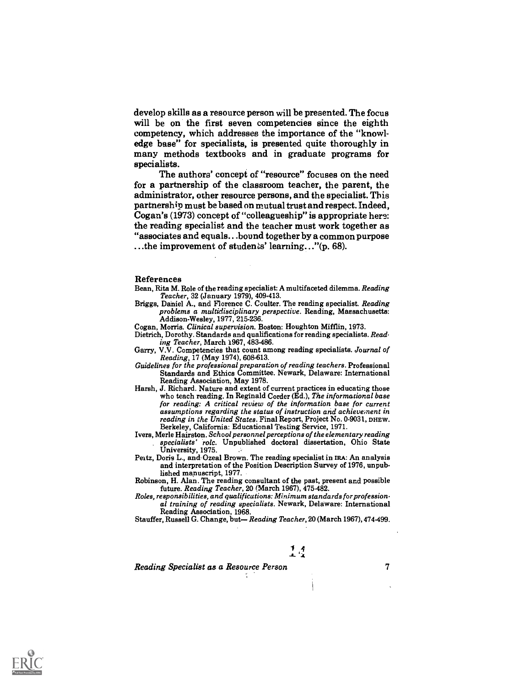develop skills as a resource person will be presented. The focus will be on the first seven competencies since the eighth competency, which addresses the importance of the "knowledge base" for specialists, is presented quite thoroughly in many methods textbooks and in graduate programs for specialists.

The authors' concept of "resource" focuses on the need for a partnership of the classroom teacher, the parent, the administrator, other resource persons, and the specialist. This partnership must be based on mutual trust and respect. Indeed, Cogan's (1973) concept of "colleagueship" is appropriate here: the reading specialist and the teacher must work together as "associates and equals...bound together by a common purpose ...the improvement of students' learning..."(p. 68).

#### References

Bean, Rita M. Role of the reading specialist: A multifaceted dilemma. Reading Teacher, 32 (January 1979), 409-413.

- Briggs, Daniel A., and Florence C. Coulter. The reading specialist. Reading problems a multidisciplinary perspective. Reading, Massachusetts: Addison-Wesley, 1977, 215-236.
- Cogan, Morris. Clinical supervision. Boston: Houghton Mifflin, 1973.
- Dietrich, Dorothy. Standards and qualifications for reading specialists. Read-<br>ing Teacher, March 1967, 483-486.
- Garry, V.V. Competencies that count among reading specialists. Journal of Reading, 17 (May 1974), 608-613.
- Guidelines for the professional preparation of reading teachers. Professional Standards and Ethics Committee. Newark, Delaware: International Reading Association, May 1978.
- Harsh, J. Richard. Nature and extent of current practices in educating those who teach reading. In Reginald Corder (Ed.), The informational base for reading: A critical review of the information base for current assumptions regarding the status of instruction and achievement in reading in the United States. Final Report, Project No. 0-9031, DHEW. Berkeley, California: Educational Testing Service, 1971.
- Ivers, Merle Hairston. School personnel perceptions of the elementary reading specialists' rolc. Unpublished doctoral dissertation, Ohio State University, 1975.
- Peitz, Doris L., and Ozeal Brown. The reading specialist in IRA: An analysis and interpretation of the Position Description Survey of 1976, unpub-
- Robinson, H. Alan. The reading consultant of the past, present and possible future. Reading Teacher, 20 (March 1967), 475-482.
- Roles, responsibilities, and qualifications: Minimum standards for profession. al training of reading specialists. Newark, Delaware: International Reading Association, 1968.
- Stauffer, Russell G. Change, but-Reading Teacher, 20 (March 1967), 474-499.

## $1.1$

Reading Specialist as a Resource Person 7

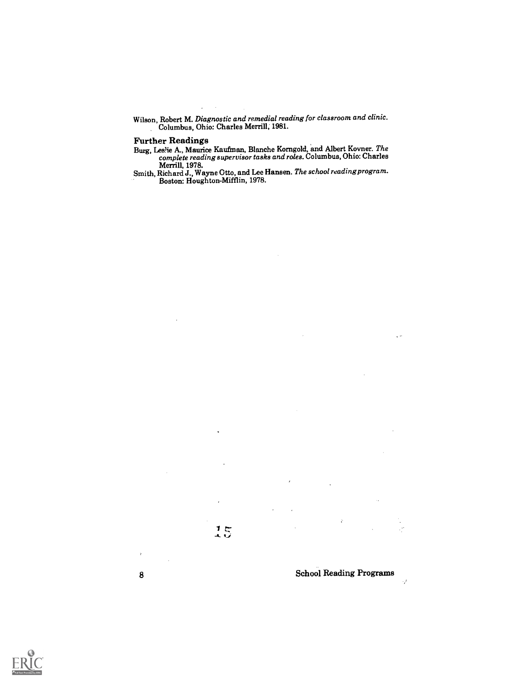Wilson, Robert M. Diagnostic and remedial reading for classroom and clinic. Columbus, Ohio: Charles Merrill; 1981.

### Further Readings

Burg, Leslie A., Maurice Kaufman, Blanche Korngold, and Albert Kovner. *The complete reading supervisor tasks and roles*. Columbus, Ohio: Charles

Merrill, 1978. Smith, Richard J., Wayne Otto, and Lee Hansen. The school reading program. Boston: Houghton-Mifflin, 1978.



 $\cdot$ 

8 School Reading Programs  $\mathcal{I}$ 

 $\zeta$   $\sim$ 

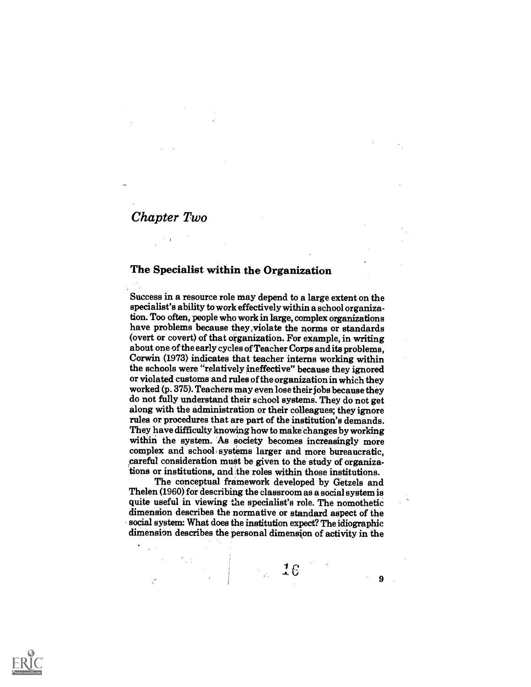# Chapter Two

### The Specialist within the Organization

Success in a resource role may depend to a large extent on the specialist's ability to work effectively within a school organization. Too often, people who work in large, complex organizations have problems because they violate the norms or standards (overt or covert) of that organization. For example, in writing about one of the early cycles of Teacher Corps and its problems, Corwin (1973) indicates that teacher interns working within the schools were "relatively ineffective" because they ignored or violated customs and rules of the organization in which they worked (p. 375). Teachers may even lose their jobs because they do not fully understand their school systems. They do not get along with the administration or their colleagues; they ignore rules or procedures that are part of the institution's demands. They have difficulty knowing how to make changes by working within the system. As society becomes increasingly more complex and school systems larger and more bureaucratic, careful consideration must be given to the study of organizations or institutions, and the roles within those institutions.

The conceptual framework developed by Getzels and Thelen (1960) for describing the classroom as a social system is quite useful in viewing the specialist's role. The nomothetic dimension describes the normative or standard aspect of the social system: What does the institution expect? The idiographic dimension describes the personal dimension of activity in the

16

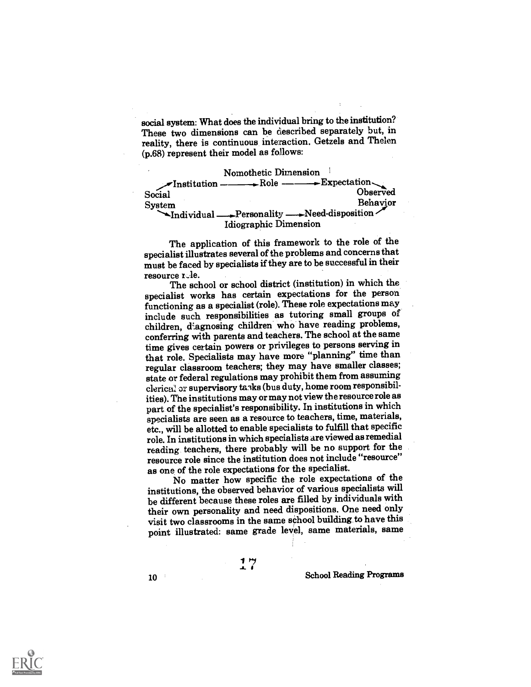social system: What does the individual bring to the institution? These two dimensions can be described separately but, in reality, there is continuous interaction. Getzels and Thelen (p.68) represent their model as follows:

Nomothetic Dimension  $\blacktriangleright$ Institution — Social Observed System Behavior Personality --Need-disposition Idiographic Dimension

The application of this framework to the role of the specialist illustrates several of the problems and concernsthat must be faced by specialists if they are to be successful in their resource rele.

The school or school district (institution) in which the specialist works has certain expectations for the person functioning as a specialist (role). These role expectations may include such responsibilities as tutoring small groups of children, diagnosing children who have reading problems, conferring with parents and teachers. The school at the same time gives certain powers or privileges to persons serving in that role. Specialists may have more "planning" time than regular classroom teachers; they may have smaller classes; state or federal regulations may prohibit them from assuming clerical 37 supervisory tasks (bus duty, home room responsibilities). The institutions may or may not view the resource role as part of the specialist's responsibility. In institutions in which specialists are seen as a resource to teachers, time, materials, etc., will be allotted to enable specialists to fulfill that specific role. In institutions in which specialists are viewed as remedial reading teachers, there probably will be no support for the resource role since the institution does not include "resource" as one of the role expectations for the specialist.

No matter how specific the role expectations of the institutions, the observed behavior of various specialists will be different because these roles are filled by individuals with their own personality and need dispositions. One need only visit two classrooms in the same school building to have this point illustrated: same grade level, same materials, same

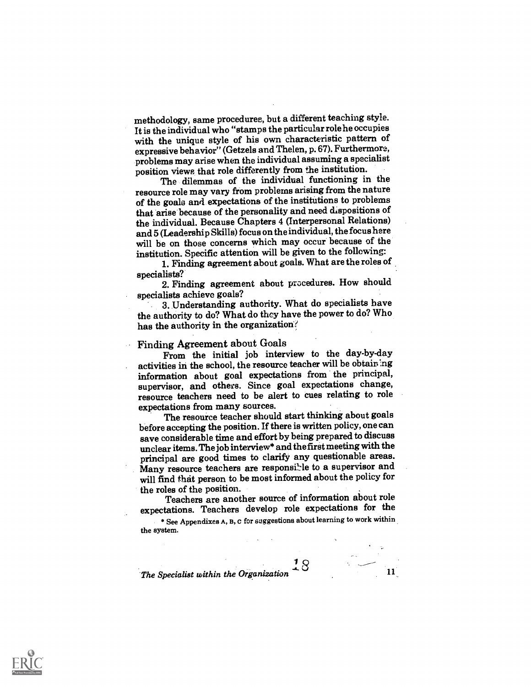methodology, same procedures, but a different teaching style. It is the individual who "stamps the particularrole he occupies with the unique style of his own characteristic pattern of expressive behavior" (Getzels and Thelen, p. 67). Furthermore, problems may arise when the individual assuming a specialist position views, that role differently from the institution.

The dilemmas of the individual functioning in the resource role may vary from problems arising from the nature of the goals and expectations of the institutions to problems that arise because of the personality and need dispositions of the individual. Because Chapters 4 (Interpersonal Relations) and 5 (Leadership Skills) focus on the individual, the focus here will be on those concerns which may occur because of the institution. Specific attention will be given to the following:

1. Finding agreement about goals. What are the roles of

specialists?<br>2. Finding agreement about procedures. How should<br>specialists achieve goals?

3. Understanding authority. What do specialists have the authority to do? What do they have the power to do? Who has the authority in the organization?

Finding Agreement about Goals From the initial job interview to the day-by-day activities in the school, the resource teacher will be obtaining information about goal expectations from the principal, supervisor, and others. Since goal expectations change, resource teachers need to be alert to cues relating to role expectations from many sources.

The resource teacher should start thinking about goals before accepting the position. If there is written policy, one can save considerable time andeffort by being prepared to discuss unclear items. The job interview\* and the first meetingwith the principal are good times to clarify any questionable areas. Many resource teachers are responsible to a supervisor and will find that person to be most informed about the policy for

the roles of the position. Teachers are another source of information about role expectations. Teachers develop role expectations for the

\* See Appendixes A, B, c for suggestions about learning to work within the system.

 $\overline{1}$   $\overline{Q}$ 

The Specialist within the Organization  $\sim$  11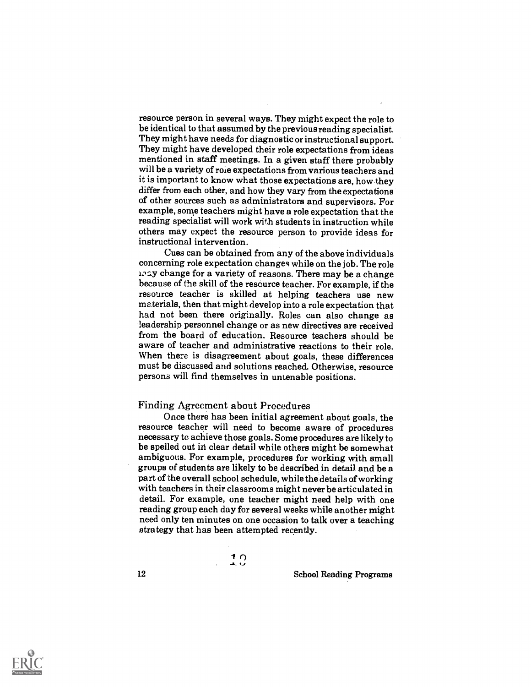resource person in several ways. They might expect the role to be identical to that assumed by the previous reading specialist. They might have needs for diagnostic or instructional support. They might have developed their role expectations from ideas mentioned in staff meetings. In a given staff there probably will be a variety of role expectations from various teachers and it is important to know what those expectations are, how they differ from each other, and how they vary from the expectations of other sources such as administrators and supervisors. For example, some teachers might have a role expectation that the reading specialist will work with students in instruction while others may expect the resource person to provide ideas for instructional intervention.

Cues can be obtained from any of the above individuals concerning role expectation changes while on the job. The role andy change for a variety of reasons. There may be a change because of the skill of the resource teacher. For example, if the resource teacher is skilled at helping teachers use new materials, then that might develop into a role expectation that had not been there originally. Roles can also change as leadership personnel change or as new directives are received from the board of education. Resource teachers should be aware of teacher and administrative reactions to their role. When there is disagreement about goals, these differences must be discussed and solutions reached. Otherwise, resource persons will find themselves in untenable positions.

#### Finding Agreement about Procedures

Once there has been initial agreement about goals, the resource teacher will need to become aware of procedures necessary to achieve those goals. Some procedures are likely to be spelled out in clear detail while others might be somewhat ambiguous. For example, procedures for working with small groups of students are likely to be described in detail and be a part of the overall school schedule, while the details of working with teachers in their classrooms might never be articulated in detail. For example, one teacher might need help with one reading group each day for several weeks while another might need only ten minutes on one occasion to talk over a teaching strategy that has been attempted recently.

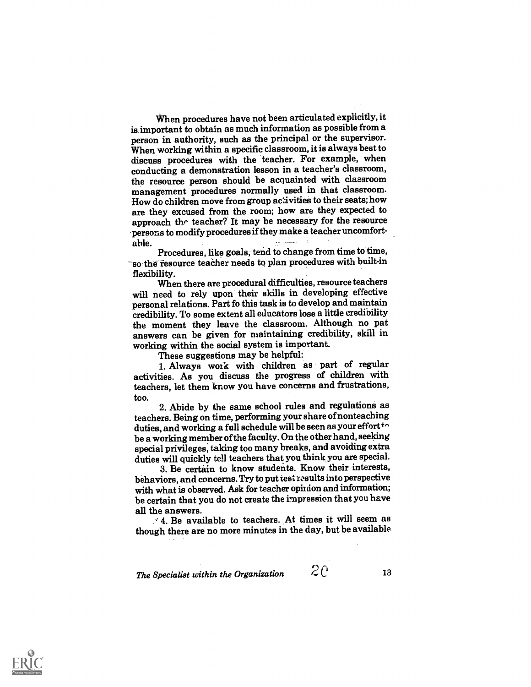When procedures have not been articulated explicitly, it is important to obtain as much information as possible from a person in authority, such as the principal or the supervisor. When working within a specific classroom, it is always best to discuss procedures with the teacher. For example, when conducting a demonstration lesson in a teacher's classroom, the resource person should be acquainted with classroom management procedures normally used in that classroom. How do children move from group activities to their seats; how are they excused from the room; how are they expected to approach thr teacher? It may be necessary for the resource persons to modify procedures if they make a teacher uncomfort-

able.<br>Procedures, like goals, tend to change from time to time, so the resource teacher needs to plan procedures with built-in flexibility.

When there are procedural difficulties, resource teachers will need to rely upon their skills in developing effective personal relations. Part fo this task is to develop and maintain credibility. To some extent all educators lose a little credibility the moment they leave the classroom. Although no pat answers can be given for maintaining credibility, skill in working within the social system is important.

1. Always work with children as part of regular activities. As you discuss the progress of children with teachers, let them know you have concerns and frustrations, too.

2. Abide by the same school rules and regulations as teachers. Being on time, performing your share of nonteaching duties, and working a full schedule will be seen as your effort  $\cdot$ be a working member of the faculty. On the other hand, seeking special privileges, taking too many breaks, and avoiding extra duties will quickly tell teachers that you think, you are special.

3. Be certain to know students. Know their interests, behaviors, and concerns. Try to put test results into perspective with what is observed. Ask for teacher opinion and information; be certain that you do not create the impression that you have all the answers.

' 4. Be available to teachers. At times it will seem as though there are no more minutes in the day, but be available

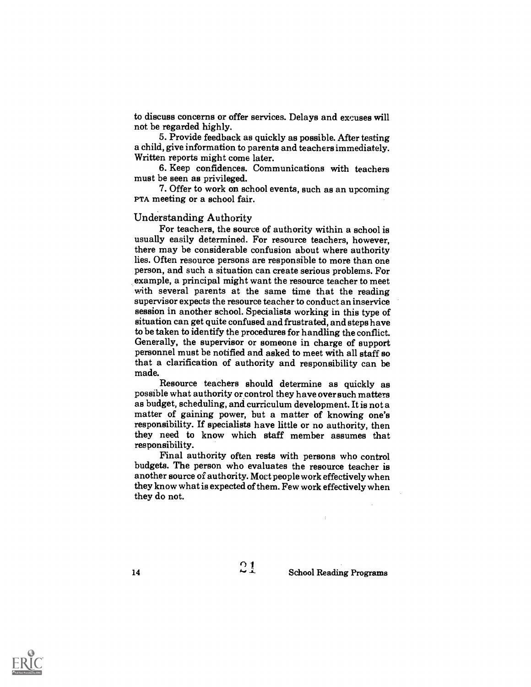to discuss concerns or offer services. Delays and excuses will not be regarded highly.

5. Provide feedback as quickly as possible. After testing a child, give information to parents and teachers immediately. Written reports might come later.

6. Keep confidences. Communications with teachers must be seen as privileged.

7. Offer to work on school events, such as an upcoming PTA meeting or a school fair.

#### Understanding Authority

For teachers, the source of authority within a school is usually easily determined. For resource teachers, however, there may be considerable confusion about where authority lies. Often resource persons are responsible to more than one person, and such a situation can create serious problems. For with several parents at the same time that the reading supervisor expects the resource teacher to conduct an inservice session in another school. Specialists working in this type of situation can get quite confused and frustrated, and steps have to be taken to identify the procedures for handling the conflict. Generally, the supervisor or someone in charge of support personnel must be notified and asked to meet with all staff so that a clarification of authority and responsibility can be made.

Resource teachers should determine as quickly as possible what authority or control they have over such matters as budget, scheduling, and curriculum development. It is not a matter of gaining power, but a matter of knowing one's responsibility. If specialists have little or no authority, then they need to know which staff member assumes that responsibility.

Final authority often rests with persons who control budgets. The person who evaluates the resource teacher is another source of authority. Moct people work effectively when they know what is expected of them. Few work effectively when they do not.

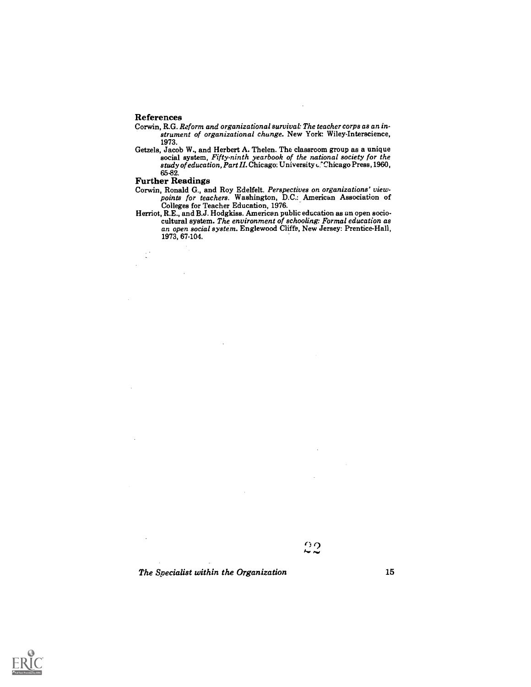#### References

- Corwin, R.G. Reform and organizational survival: The teacher corps as an instrument of organizational change. New York: Wiley-Interacience, 1973.
- Getzels, Jacob W., and Herbert A. Thelen. The classroom group as a unique social system, Fifty-ninth yearbook of the national society for the s*tudy of education, Part II*. Chicago: University <sub>C</sub>. Chicago Press, 1960, 65-82.

#### Further Readings

- Corwin, Ronald G., and Roy Edelfelt. Perspectives on organizations' view- points for teachers. Washington, D.C.: American Association of Colleges for Teacher Education, 1976.
- Herriot, R.E., and B.J. Hodgkiss. American public education as an open sociocultural system. The environment of schooling: Formal education as an open social system. Englewood Cliffs, New Jersey: Prentice-Hall, 1973, 67-104.

ဥ၇

The Specialist within the Organization 15

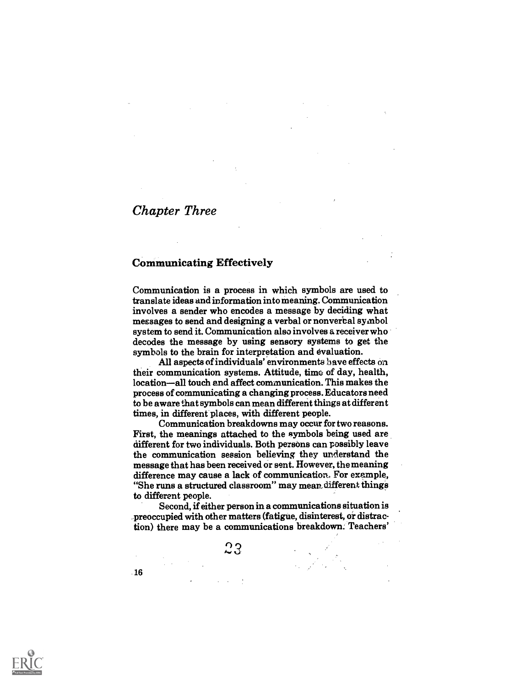## Chapter Three

### Communicating Effectively

Communication is a process in which symbols are used to translate ideas and information into meaning. Communication involves a sender who encodes a message by deciding what messages to send and designing a verbal or nonverbal symbol system to send it. Communication also involves a receiver who decodes the message by using sensory systems to get the symbols to the brain for interpretation and evaluation.

All aspects of individuals' environments have effects on their communication systems. Attitude, time of day, health, location—all touch and affect communication. This makes the process of communicating a changing process. Educators need to be aware that symbols can mean different things at different times, in different places, with different people.

Communication breakdowns may occur for two reasons. First, the meanings attached to the symbols being used are different for two individuals. Both persons can possibly leave the communication session believing they understand the message that has been received or sent. However, the meaning difference may cause a lack of communication. For example, "She runs a structured classroom" may mean different things to different people.

Second, if either person in a communications situation is preoccupied with other matters (fatigue, disinterest, or distraction) there may be a communications breakdown. Teachers'

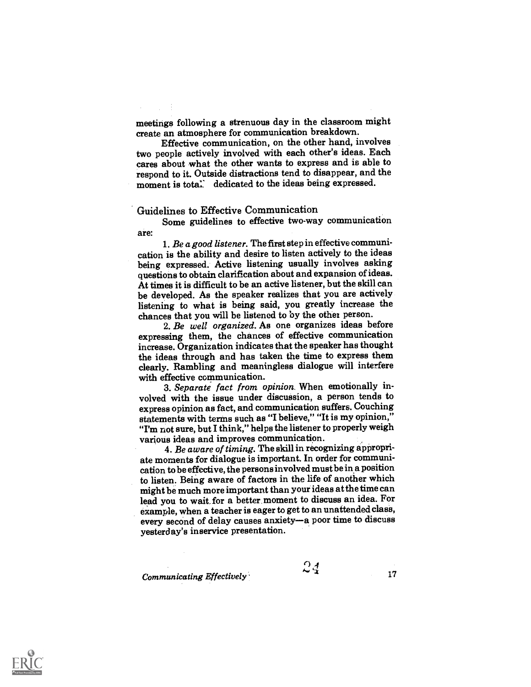meetings following a strenuous day in the classroom might

Effective communication, on the other hand, involves two people actively involved with each other's ideas. Each cares about what the other wants to express and is able to respond to it. Outside distractions tend to disappear, and the moment is total. dedicated to the ideas being expressed.

#### Guidelines to Effective Communication

Some guidelines to effective two-way communication are:

1. Be a good listener. The first step in effective communication is the ability and desire to listen actively to the ideas being expressed. Active listening usually involves asking questions to obtain clarification about and expansion of ideas. At times it is difficult to be an active listener, but the skill can be developed. As the speaker realizes that you are actively listening to what is being said, you greatly increase the chances that you will be listened to by the other person.

2. Be well organized. As one organizes ideas before expressing them, the chances of effective communication increase. Organization indicates that the speaker has thought the ideas through and has taken the time to express them clearly. Rambling and meaningless dialogue will interfere with effective communication.

3. Separate fact from opinion. When emotionally involved with the issue under discussion, a person tends to express opinion as fact, and communication suffers. Couching statements with terms such as "I believe," "It is my opinion," "I'm not sure, but I think," helps the listener to properly weigh various ideas and improves communication.

4. Be aware of timing. The skill in recognizing appropriate moments for dialogue is important. In order for communication to be effective, the persons involved must be in a position to listen. Being aware of factors in the life of another which might be much more important than your ideas at the time can lead you to wait for a better moment to discuss an idea. For example, when a teacher is eager to get to an unattended class, every second of delay causes anxiety-a poor time to discuss yesterday's inservice presentation.

 $\n *Comminicating Effectively*\n  $\sim 17$$ 

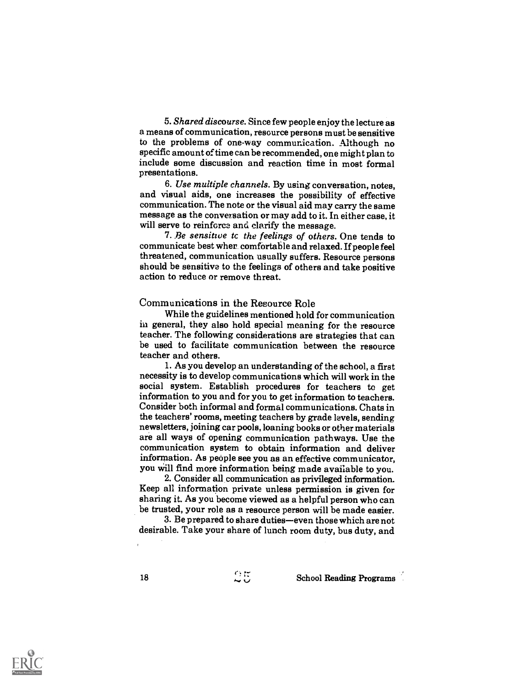5. Shared discourse. Since few people enjoy the lecture as a means of communication, resource persons must be sensitive to the problems of one-way communication. Although no specific amount of time can be recommended, one might plan to include some discussion and reaction time in most formal presentations.

6. Use multiple channels. By using conversation, notes, and visual aids, one increases the possibility of effective communication. The note or the visual aid may carry the same message as the conversation or may add to it. In either case, it will serve to reinforce and clarify the message.

7. Be sensitive tc the feelings of others. One tends to communicate best wher comfortable and relaxed. If people feel threatened, communication usually suffers. Resource persons should be sensitive to the feelings of others and take positive action to reduce or remove threat.

#### Communications in the Resource Role

While the guidelines mentioned hold for communication in general, they also hold special meaning for the resource teacher. The following considerations are strategies that can be used to facilitate communication between the resource teacher and others.

1. As you develop an understanding of the school, a first social system. Establish procedures for teachers to get information to you and for you to get information to teachers. Consider both informal and formal communications. Chats in the teachers' rooms, meeting teachers by grade levels, sending newsletters, joining car pools, loaning books or other materials are all ways of opening communication pathways. Use the communication system to obtain information and deliver information. As people see you as an effective communicator, you will find more information being made available to you.

2. Consider all communication as privileged information. Keep all information private unless permission is given for sharing it. As you become viewed as a helpful person who can be trusted, your role as a resource person will be made easier.

3. Be prepared to share duties—even those which are not desirable. Take your share of lunch room duty, bus duty, and

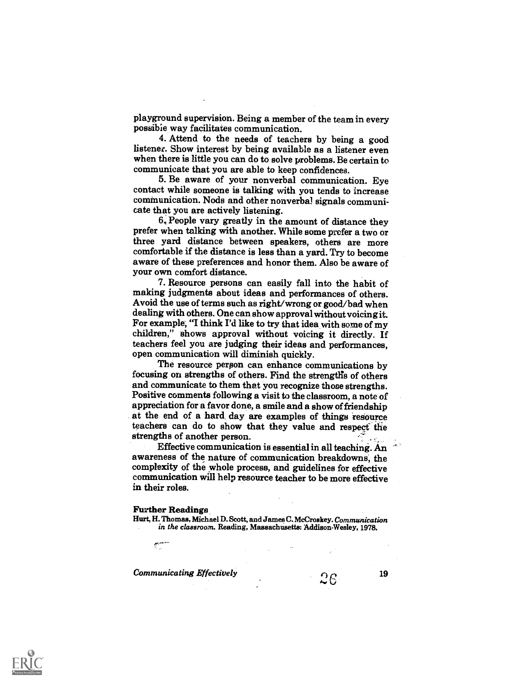playground supervision. Being a member of the team in every possible way facilitates communication.

4. Attend to the needs of teachers by being a good listener. Show interest by being available as a listener even when there is little you can do to solve problems. Be certain to communicate that you are able to keep confidences.

5. Be aware of your nonverbal communication. Eye contact while someone is talking with you tends to increase communication. Nods and other nonverbal signals communi- cate that you are actively listening.

6, People vary greatly in the amount of distance they prefer when talking with another. While some prefer a two or three yard distance between speakers, others are more comfortable if the distance is less than a yard. Try to become aware of these preferences and honor them. Also be aware of your own comfort distance.

7. Resource persons can easily fall into the habit of making judgments about ideas and performances of others. Avoid the use of terms such as right/wrong or good/bad when dealing with others. One can show approval without voicing it. For example, "I think I'd like to try that idea with some of my children," shows approval without voicing it directly. If teachers feel you are judging their ideas and performances, open communication will diminish quickly.

The resource person can enhance communications by focusing on strengths of others. Find the strengths of others and communicate to them that you recognize those strengths. Positive comments following a visit to the classroom, a note of at the end of a hard day are examples of things resource teachers can do to show that they value and respect the strengths of another person.

Effective communication is essential in all teaching. An awareness of the nature of communication breakdowns, the complexity of the whole process, and guidelines for effective communication will help resource teacher to be more effective in their roles.

#### Further Readings

سيم

Hurt, H. Thomas, Michael D. Scott., and James C. McCroakey. Communication in the classroom. Reading, Massachusetts: Addison-Wesley, 1978.

Communicating Effectively  $\sim$  19

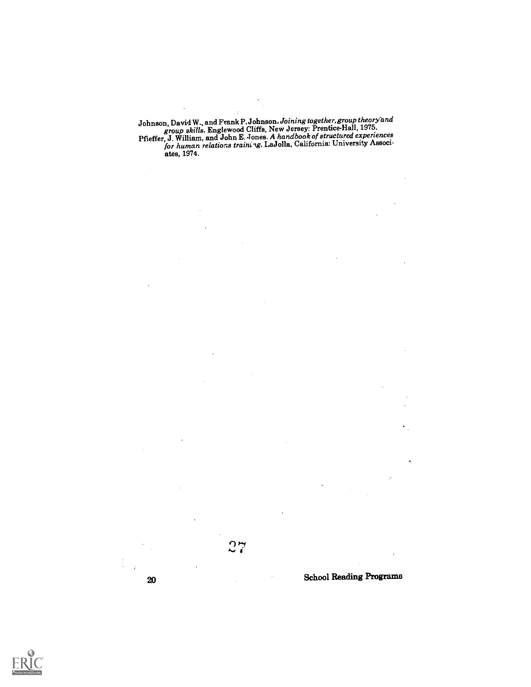Johnson, David W., and Frank P. Johnson. Joining together, group theory and group skills. Englewood Cliffs, New Jersey: Prentice-Hall, 1975. Pfieffer, J. William, and John E. Jones. A handbook of structured experiences for human relations training. LaJolla, California: University Associates, 1974.

<sup>20</sup> School Reading Progrania

 $27$ 

Ĭ.  $\mathcal{A}$ 

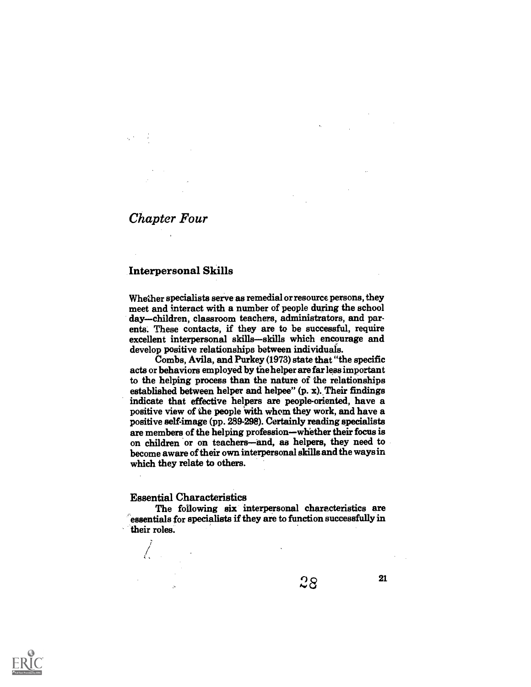# Chapter Four

### Interpersonal Skills

Whether specialists serve as remedial or resource persons, they meet and interact with a number of people during the school day-children, classroom teachers, administrators, and par-<br>ents. These contacts, if they are to be successful, require excellent interpersonal skills-skills which encourage and develop positive relationships between individuals.

Combs, Avila, and Purkey (1973) state that "the specific acts or behaviors employed by the helper are far less important to the helping process than the nature of the relationships established between helper and helpee" (p. x). Their findings indicate that effective helpers are people-oriented, have a positive view of the people with whom they work, and have a positive self-image (pp. 289-298). Certainly reading specialists are members of the helping profession—whether their focus is on children or on teachers—and, as helpers, they need to become aware of their own interpersonal skills and the ways in which they relate to others.

#### Essential Characteristics

The following six interpersonal characteristics are essentials for specialists if they are to function successfully in their roles.



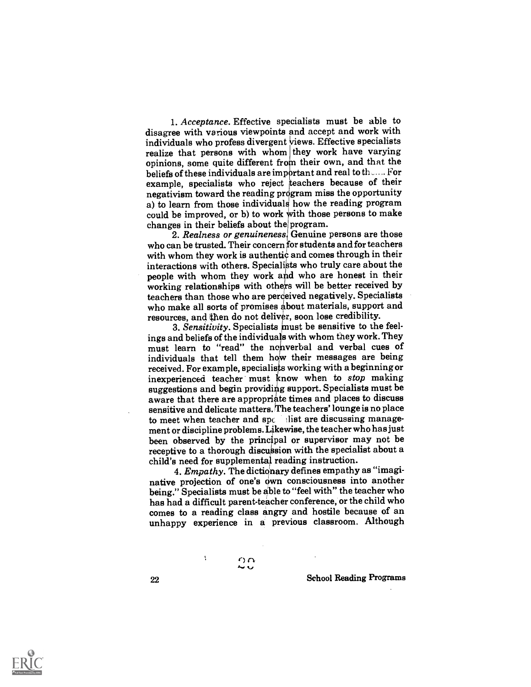1. Acceptance. Effective specialists must be able to disagree with various viewpoints and accept and work with individuals who profess divergent views. Effective specialists realize that persons with whom they work have varying opinions, some quite different from their own, and that the beliefs of these individuals are important and real to the set For  $\,$ example, specialists who reject teachers because of their  ${\bf negativism}$  toward the reading program miss the opportunity a) to learn from those individual how the reading program could be improved, or b) to work with those persons to make changes in their beliefs about the program.

2. Realness or genuinenessi Genuine persons are those who can be trusted. Their concern for students and for teachers with whom they work is authentic and comes through in their interactions with others. Specialists who truly care about the people with whom they work and who are honest in their working relationships with others will be better received by teachers than those who are perceived negatively. Specialists who make all sorts of promises about materials, support and resources, and then do not deliver, soon lose credibility.

3. Sensitivity. Specialists must be sensitive to the feelings and beliefs of the individuals with whom they work. They must learn to "read" the nonverbal and verbal cues of individuals that tell them how their messages are being received. For example, specialists working with a beginning or inexperienced teacher must know when to stop making suggestions and begin providing support. Specialists must be aware that there are appropriate times and places to discuss sensitive and delicate matters. The teachers' lounge is no place to meet when teacher and  $sp<sub>e</sub>$  Mist are discussing management or discipline problems. Likewise, the teacher who has just been observed by the principal or supervisor may not be receptive to a thorough discussion with the specialist about a child's need for supplemental reading instruction.

4. Empathy. The dictionary defines empathy as "imaginative projection of one's own consciousness into another being." Specialists must be able to "feel with" the teacher who has had a difficult parent-teacher conference, or the child who comes to a reading class angry and hostile because of an unhappy experience in a previous classroom. Although

> 0 n n<br>C

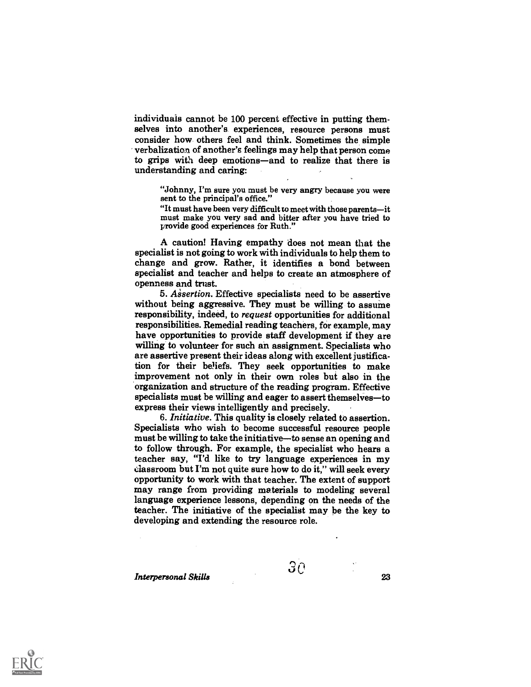individuals cannot be 100 percent effective in putting themselves into another's experiences, resource persons must consider how others feel and think. Sometimes the simple verbalization of another's feelings may help that person come to grips with deep emotions—and to realize that there is understanding and caring:

"Johnny, I'm sure you must be very angry because you were sent to the principal's office."

"It must have been very difficult to meet with those parents--it must make you very sad and bitter after you have tried to provide good experiences for Ruth."

A caution! Having empathy does not mean that the specialist is not going to work with individuals to help them to change and grow. Rather, it identifies a bond between specialist and teacher and helps to create an atmosphere of openness and trust.

5. Assertion. Effective specialists need to be assertive without being aggressive. They must be willing to assume responsibility, indeed, to request opportunities for additional responsibilities. Remedial reading teachers, for example, may have opportunities to provide staff development if they are willing to volunteer for such an assignment. Specialists who are assertive present their ideas along with excellent justification for their beliefs. They seek opportunities to make improvement not only in their own roles but also in the organization and structure of the reading program. Effective specialists must be willing and eager to assert themselves-to express their views intelligently and precisely.

6. Initiative. This quality is closely related to assertion. Specialists who wish to become successful resource people must be willing to take the initiative—to sense an opening and to follow through. For example, the specialist who hears a teacher say, "I'd like to try language experiences in my classroom but I'm not quite sure how to do it," will seek every opportunity to work with that teacher. The extent of support may range from providing materials to modeling several language experience lessons, depending on the needs of the teacher. The initiative of the specialist may be the key to developing and extending the resource role.

 $\mathcal{G}\odot$  and  $\mathcal{G}\odot$  23

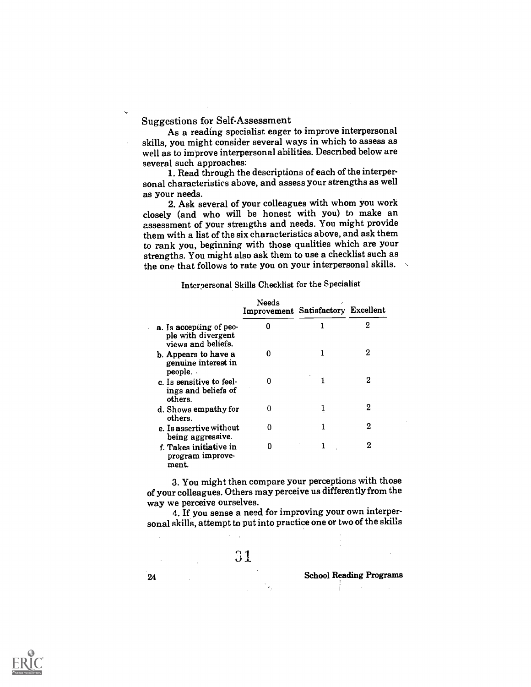Suggestions for Self-Assessment

As a reading specialist eager to improve interpersonal skills, you might consider several ways in which to assess as well as to improve interpersonal abilities. Described below are several such approaches:

1. Read through the descriptions of each of the interpersonal characteristics above, and assess your strengths as well

as your needs.<br>2. Ask several of your colleagues with whom you work closely (and who will be honest with you) to make an assessment of your strengths and needs. You might provide them with a list of the six characteristics above, and ask them to rank you, beginning with those qualities which are your strengths. You might also ask them to use a checklist such as the one that follows to rate you on your interpersonal skills. the one that follows to rate you on your interpersonal skills.

#### Interpersonal Skills Checklist for the Specialist

|                                                                     | Needs<br>Improvement Satisfactory Excellent |   |
|---------------------------------------------------------------------|---------------------------------------------|---|
| a. Is accepting of peo-<br>ple with divergent<br>views and beliefs. | 0                                           | 2 |
| b. Appears to have a<br>genuine interest in<br>people.              | o                                           | 2 |
| c. Is sensitive to feel-<br>ings and beliefs of<br>others.          | 0                                           | 2 |
| d. Shows empathy for<br>others.                                     | 0                                           | 2 |
| e. Is assertive without<br>being aggressive.                        | O                                           | 2 |
| f. Takes initiative in<br>program improve-<br>ment.                 |                                             | 2 |

3. You might then compare your perceptions with those of your colleagues. Others may perceive us differently from the way we perceive ourselves.

4. If you sense a need for improving your own interpersonal skills, attempt to put into practice one or two of the skills

31

 $\sim 10^{11}$ 

School Reading Programs

÷,

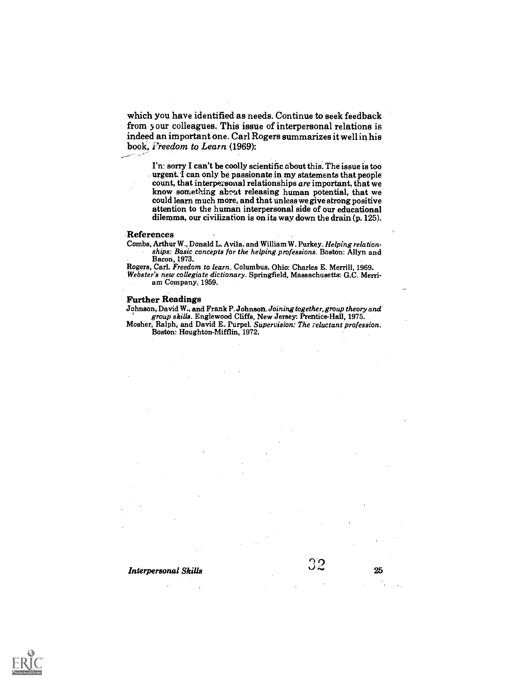which you have identified as needs. Continue to seek feedback from y our colleagues. This issue of interpersonal relations is indeed an important one. Carl Rogers summarizes it well in his book, *i'reedom to Learn* (1969):

I'n! sorry I can't be coolly scientific about this. The issue is too urgent. I can only be passionate in my statements that people count, that interpersonal relationships *are* important, that we know something about releasing human potential, that we could learn much more, and that unless attention to the human interpersonal side of our educational dilemma, our civilization is on its way down the drain (p. 125).

#### References

ويورد الجامر

Combs, Arthur W., Donald L. Avila. and William W. Purkey. Helping relationships: Basic concepts for the helping professions. Boston: Allyn and Bacon, 1973.

Rogers, Carl. Freedom to learn. Columbus, Ohio: Charles E. Merrill, 1969.

Webster's new collegiate dictionary. Springfield, Massachusetts: G.C. Merriam Company, 1959.

#### Further Readings

Johnson, David W., and Frank P. Johnson. Joining together, group theory and group skills. Englewood Cliffs, New Jersey: Prentice-Hall, 1975.

Mosher, Ralph, and David E. Purpel. Supervision: The reluctant profession. Boston: Houghton-Mifflin, 1972.

# **Interpersonal Skills**  $32$   $25$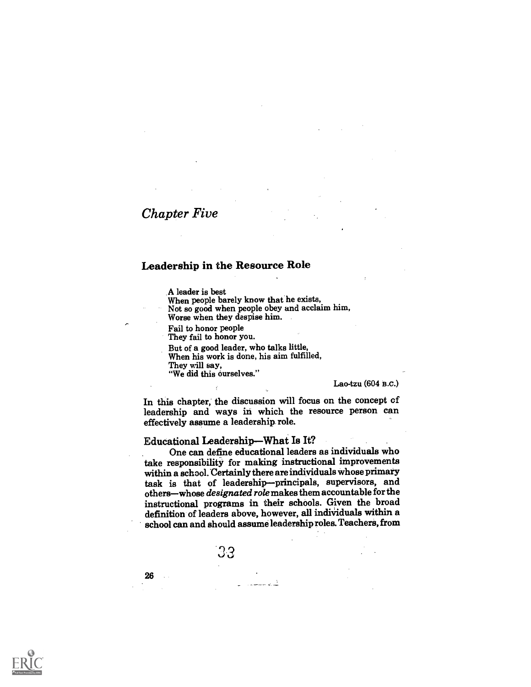# Chapter Five

#### Leadership in the Resource Role

.A leader is best

When people barely know that he exists, Not so good when people obey and acclaim him,

Worse when they despise him.

Fail to honor people They fail to honor you.

But of a good leader, who talks little,

When his work is done, his aim fulfilled,

They will say,

"We did this ourselves."

Lao-tzu (604 B.c.)

In this chapter, the discussion will focus on the concept of leadership and ways in which the resource person can effectively assume a leadership role.

#### Educational Leadership-What Is It?

One can define educational leaders as individuals who take responsibility for making instructional improvements within a school. Certainly there are individuals whose primary task is that of leadership--principals, supervisors, and others-whose designated role makes them accountable for the instructional programs in their schools. Given the broad definition of leaders above, however, all individuals within a school can and should assume leadership roles. Teachers, from

33

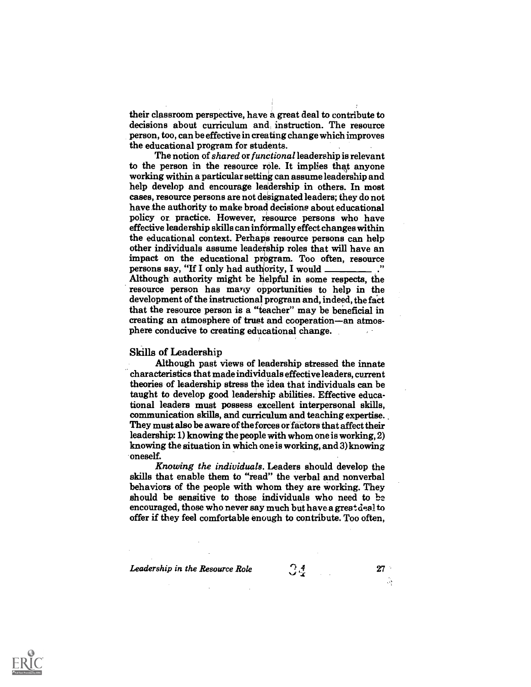their classroom perspective, have a great deal to contribute to decisions about curriculum and, instruction. The resource person, too, can be effective in creating change which improves the educational program for students.

The notion of shared or functional leadership is relevant to the person in the resource role. It implies that anyone working within a particular setting can assume leadership and help develop and encourage leadership in others. In most cases, resource persons are not designated leaders; they do not have the authority to make broad decisions about educational policy or. practice. However, resource persons who have effective leadership skills can informally effect changes within the educational context. Perhaps resource persons can help other individuals assume leadership roles that will have an impact on the educational program. Too often, resource persons say, "If I only had authority, I would Although authority might be helpful in some respects, the resource person has many opportunities to help in the development of the instructional program and, indeed, the fact that the resource person is a "teacher" may be beneficial in creating an atmosphere of trust and cooperation-an atmosphere conducive to creating educational change.

#### Skills of Leadership

Although past views of leadership stressed the innate characteristics that made individuals effective leaders, current theories of leadership stress the idea that individuals can be taught to develop good leadership abilities. Effective educational leaders must possess excellent interpersonal skills, communication skills, and curriculum and teaching expertise. They must also be aware of the forces or factors that affect their leadership: 1) knowing the people with whom one is working, 2) knowing the situation in which one is working, and 3) knowing oneself.

Knowing the individuals. Leaders should develop the skills that enable them to "read" the verbal and nonverbal behaviors of the people with whom they are working. They should be sensitive to those individuals who need to be encouraged, those who never say much but have a great deal to offer if they feel comfortable enough to contribute. Too often,

Leadership in the Resource Role  $\begin{array}{cc} \bigcirc & 4 \\ \bigcirc & \bigcirc & 27 \end{array}$  27

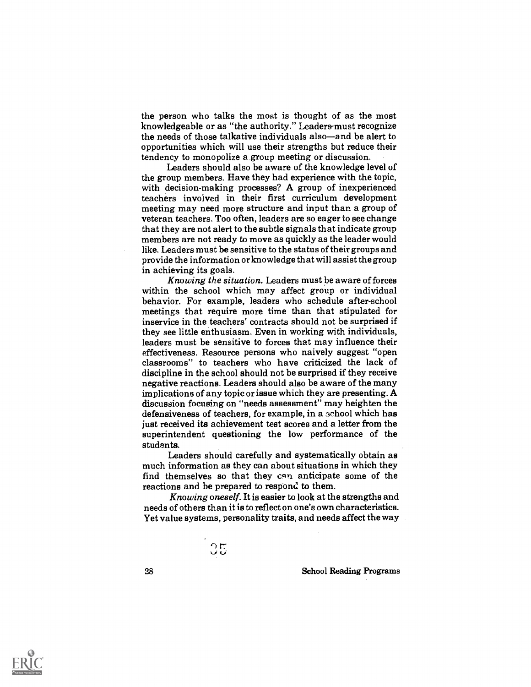the person who talks the most is thought of as the most knowledgeable or as "the authority." Leaders-must recognize the needs of those talkative individuals also—and be alert to opportunities which will use their strengths but reduce their tendency to monopolize a group meeting or discussion.

Leaders should also be aware of the knowledge level of the group members. Have they had experience with the topic, with decision-making processes? A group of inexperienced teachers involved in their first curriculum development meeting may need more structure and input than a group of veteran teachers. Too often, leaders are so eager to see change that they are not alert to the subtle signals that indicate group members are not ready to move as quickly as the leader would like. Leaders must be sensitive to the status of their groups and provide the information or knowledge that will assist the group in achieving its goals.

Knowing the situation. Leaders must be aware of forces within the school which may affect group or individual behavior. For example, leaders who schedule after-school meetings that require more time than that stipulated for inservice in the teachers' contracts should not be surprised if they see little enthusiasm. Even in working with individuals, leaders must be sensitive to forces that may influence their effectiveness. Resource persons who naively suggest "open classrooms" to teachers who have criticized the lack of discipline in the school should not be surprised if they receive negative reactions. Leaders should also be aware of the many implications of any topic or issue which they are presenting. A discussion focusing on "needs assessment" may heighten the defensiveness of teachers, for example, in a school which has just received its achievement test scores and a letter from the superintendent questioning the low performance of the students.

Leaders should carefully and systematically obtain as much information as they can about situations in which they find themselves so that they can anticipate some of the reactions and be prepared to respond to them.

Knowing oneself. It is easier to look at the strengths and needs of others than it is to reflect on one's own characteristics. Yet value systems, personality traits, and needs affect the way

 $\frac{35}{20}$ 

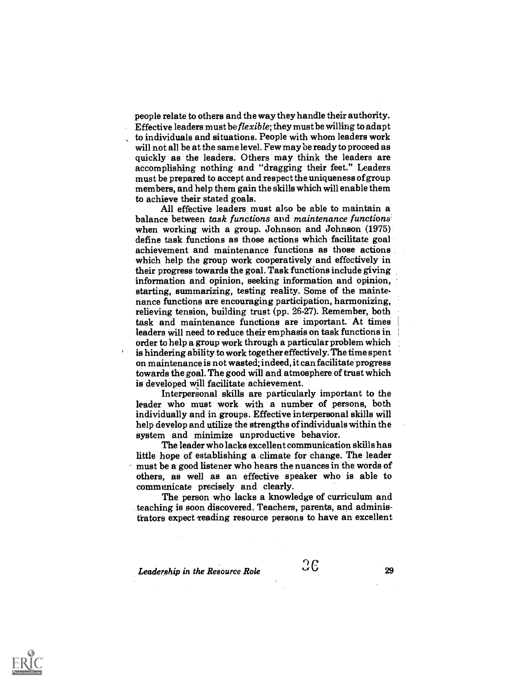people relate to others and the way they handle their authority. Effective leaders must be flexible; they must be willing to adapt to individuals and situations. People with whom leaders work will not all be at the same level. Few may be ready to proceed as quickly as the leaders. Others may think the leaders are accomplishing nothing and "dragging their feet." Leaders must be prepared to accept and respect the uniqueness of group members, and help them gain the skills which will enable them

to achieve their stated goals. All effective leaders must also be able to maintain a balance between task functions and maintenance functions when working with a group. Johnson and Johnson (1975) define task functions as those actions which facilitate goal achievement and maintenance functions as those actions which help the group work cooperatively and effectively in their progress towards the goal. Task functions include giving information and opinion, seeking information and opinion, starting, summarizing, testing reality. Some of the maintenance functions are encouraging participation, harmonizing, relieving tension, building trust (pp. 26-27). Remember, both task and maintenance functions are important. At times leaders will need to reduce their emphasis on task functions in order to help a group work through a particular problem which is hindering ability to work together effectively. The time spent on maintenance is not wasted; indeed, it can facilitate progress towards the goal. The good will and atmosphere of trust which is developed will facilitate achievement.

Interpersonal skills are particularly important to the leader who must work with a number of persons, both individually and in groups. Effective interpersonal skills will help develop and utilize the strengths of individuals within the system and minimize unproductive behavior.

The leader who lacks excellent communication skills has little hope of establishing a climate for change. The leader must be a good listener who hears the nuances in the words of others, as well as an effective speaker who is able to communicate precisely and clearly.

The person who lacks a knowledge of curriculum and teaching is soon discovered. Teachers, parents, and administrators expect 'reading resource persons to have an excellent

Leadership in the Resource Role  $36$ 

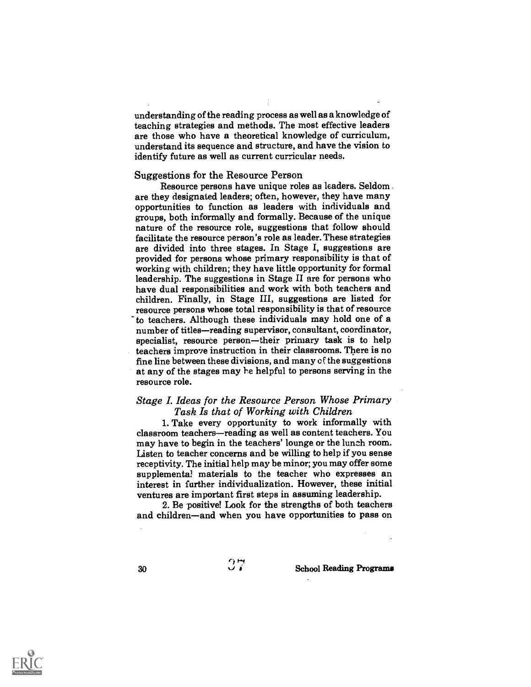understanding of the reading process as well as a knowledge of teaching strategies and methods. The most effective leaders are those who have a theoretical knowledge of curriculum, understand its sequence and structure, and have the vision to identify future as well as current curricular needs.

#### Suggestions for the Resource Person

Resource persons have unique roles as leaders. Seldom are they designated leaders; often, however, they have many opportunities to function as leaders with individuals and groups, both informally and formally. Because of the unique nature of the resource role, suggestions that follow should facilitate the resource person's role as leader. These strategies are divided into three stages. In Stage I, suggestions are provided for persons whose primary responsibility is that of working with children; they have little opportunity for formal leadership. The suggestions in Stage II are for persons who have dual responsibilities and work with both teachers and children. Finally, in Stage III, suggestions are listed for resource persons whose total responsibility is that of resource to teachers. Although these individuals may hold one of a number of titles—reading supervisor, consultant, coordinator, specialist, resource person—their primary task is to help teachers improve instruction in their classrooms. There is no fine line between these divisions, and many of the suggestions at any of the stages may he helpful to persons serving in the resource role.

## Stage I. Ideas for the Resource Person Whose Primary Task Is that of Working with Children

1. Take every opportunity to work informally with classroom teachers—reading as well as content teachers. You may have to begin in the teachers' lounge or the lunch room. Listen to teacher concerns and be willing to help if you sense receptivity. The initial help may be minor; you may offer some supplementa! materials to the teacher who expresses an interest in further individualization. However, these initial ventures are important first steps in assuming leadership.

2. Be positive! Look for the strengths of both teachers and children—and when you have opportunities to pass on

ا و م

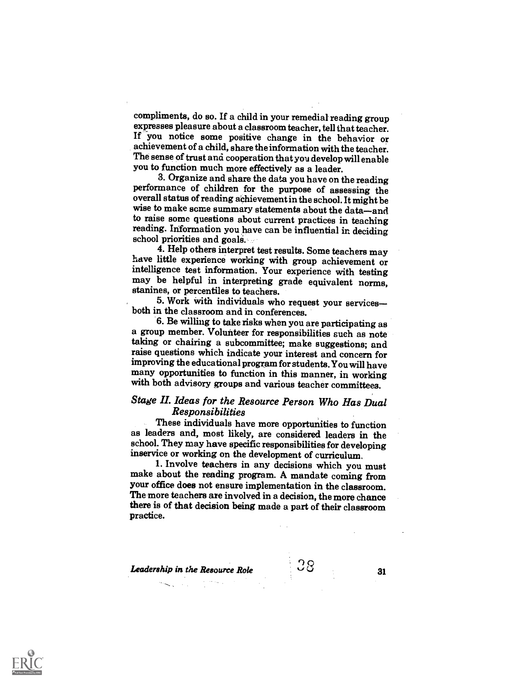compliments, do so. If a child in your remedial reading group If you notice some positive change in the behavior or achievement of a child, share the information with the teacher. The sense of trust and cooperation thatyou develop will enable you to function much more effectively as a leader.

performance of children for the purpose of assessing the overall status of reading achievement in the school. It might be wise to make some summary statements about the data-and to raise some questions about current practices in teaching reading. Information you have can be influential in deciding school priorities and goals.<br>4. Help others interpret test results. Some teachers may

have little experience working with group achievement or intelligence test information. Your experience with testing may be helpful in interpreting grade equivalent norms, stanines, or percentiles to teachers.

5. Work with individuals who request your services-<br>both in the classroom and in conferences.<br>6. Be willing to take risks when you are participating as

a group member. Volunteer for responsibilities sueh as note taking or chairing a subcommittee; make suggestions; and raise questions which indicate your interest and concern for improving the educational program for students. You will have many opportunities to function in this manner, in working with both advisory groups and various teacher committees.

## Stage II. Ideas for the Resource Person Who Has Dual Responsibilities

These individuals have more opportunities to function as leaders and, most likely, are considered leaders in the school. They may have specific responsibilities for developing inservice or working on the development of curriculum.

make about the reading program. A mandate coming from your office does not ensure implementation in the classroom. The more teachers are involved in a decision, the more chance there is of that decision being made a part of their classroom practice.

**Leadership in the Resource Role** city  $\cup$  31 31

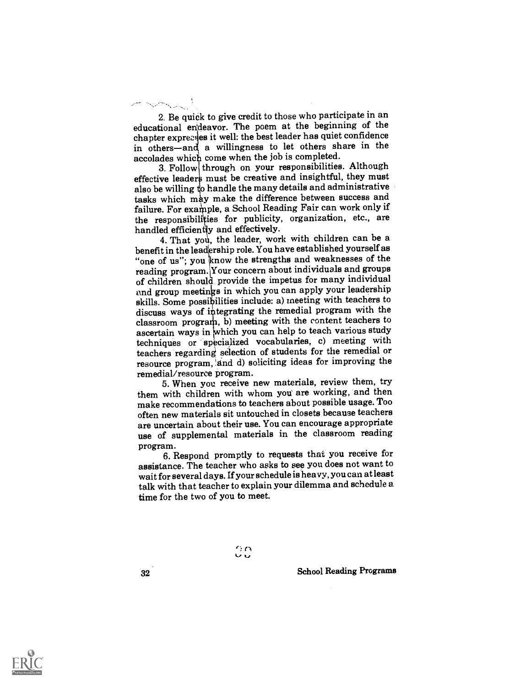2. Be quick to give credit to those who participate in an educational endeavor. The poem at the beginning of the chapter expresses it well: the best leader has quiet confidence in others-and a willingness to let others share in the accolades which come when the job is completed.

3. Follow through on your responsibilities. Although effective leaders must be creative and insightful, they must also be willing to handle the many details and administrative tasks which may make the difference between success and failure. For example, a School Reading Fair can work only if the responsibilities for publicity, organization, etc., are handled efficiently and effectively.

4. That you, the leader, work with children can be a benefit in the leadership role. You have established yourself as "one of us"; you know the strengths and weaknesses of the reading program.iYour concern about individuals and groups of children should provide the impetus for many individual and group meetings in which you can apply your leadership skills. Some possibilities include: a) meeting with teachers to discuss ways of integrating the remedial program with the discuss ways of integrating the remedial program with the classroom program, b) meeting with the content teachers to ascertain ways in which you can help to teach various study techniques or specialized vocabularies, c) meeting with teachers regarding selection of students for the remedial or resource program, 'and d) soliciting ideas for improving the remedial/resource program.

5. When you receive new materials, review them, try them with children with whom you are working, and then make recommendations to teachers about possible usage. Too often new materials sit untouched in closets because teachers are uncertain about their use. You can encourage appropriate use of supplemental materials in the classroom reading

program. 6. Respond promptly to requests that you receive for assistance. The teacher who asks to see you does not want to wait for several days. If your schedule is heavy, you can at least talk with that teacher to explain your dilemma and schedule a time for the two of you to meet.

> $\gamma$ ر، ب

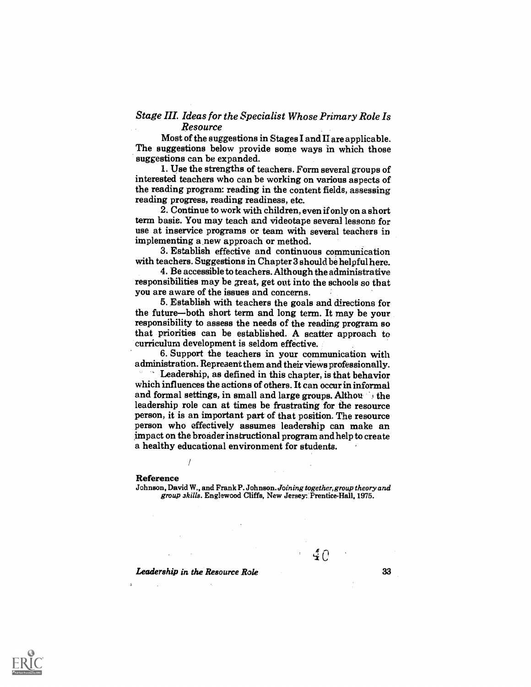## Stage III. Ideas for the Specialist Whose Primary Role Is Resource

Most of the suggestions in Stages I and Ii are applicable. The suggestions below provide some ways in which those suggestions can be expanded.

1. Use the strengths of teachers. Form several groups of interested teachers who can be working on various aspects of the reading program: reading in the content fields, assessing reading progress, reading readiness, etc.

2. Continue to work with children, even if only on a short term basis. You may teach and videotape several lessons for use at inservice programs or team with several teachers in implementing anew approach or method.

3. Establish effective and continuous communication with teachers. Suggestions in Chapter 3 should be helpful here.

4. Be accessible to teachers. Although the administrative responsibilities may be great, get out into the schools so that you are aware of the issues and concerns.

5. Establish with teachers the goals and directions for the future-both short term and long term. It may be your responsibility to assess the needs of the reading program so that priorities can be established. A scatter approach to curriculum development is seldom effective.

6. Support the teachers in your communication with administration. Represent them and their views professionally.

Leadership, as defined in this chapter, is that behavior which influences the actions of others. It can occur in informal and formal settings, in small and large groups. Althou is the leadership role can at times be frustrating for the resource person, it is an important part of that position. The resource person who effectively assumes leadership can make an impact on the broader instructional program and help to create a healthy educational environment for students.

#### Reference

Johnson, David W., and Frank P. Johnson. Joining together, group theory and group skills. Englewood Cliffs, New Jersey: Prentice-Hall, 1975.

Leadership in the Resource Role

40

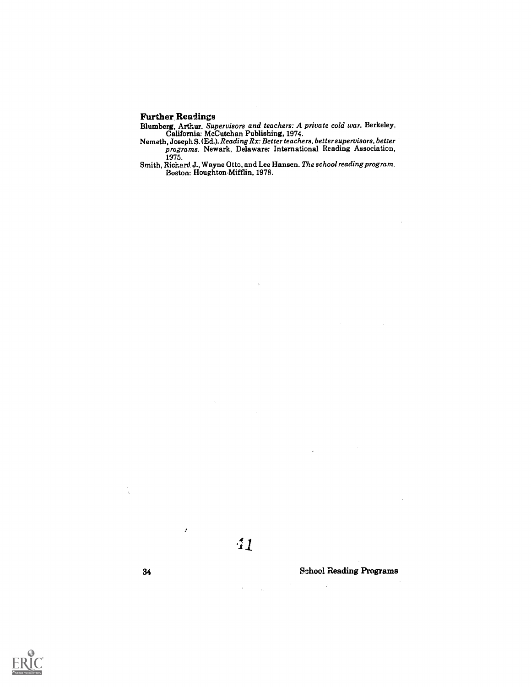## Further Readings

Blumberg, Arthur. Supervisors and teachers: A private cold war. Berkeley, California: McCutchan Publishing, 1974.

- Nemeth, Joseph S. (Ed.). Reading Rx: Better teachers, better supervisors, better programs. Newark, Delaware: International Reading Association, 1975.
- Smith, Richard. J., Wayne Otto, and Lee Hansen. The school reading program. Boston: Houghton-Mifflin, 1978.



 $\mathcal{L}$ 

34 School Reading Programs

 $\hat{r}$ 

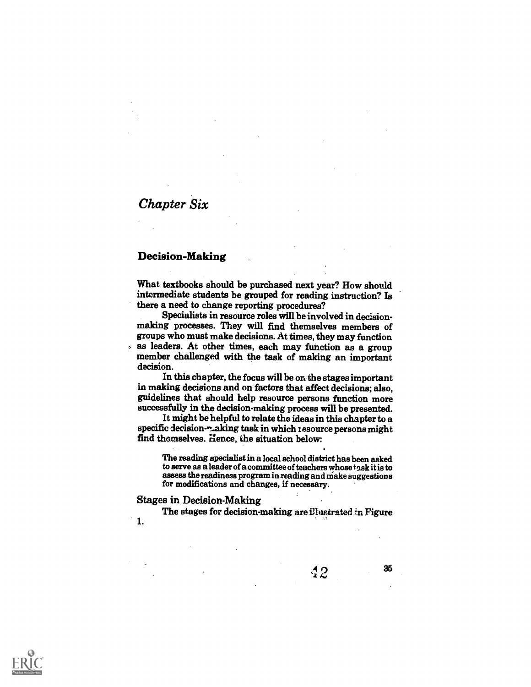# Chapter Six

## Decision-Making

What textbooks should be purchased next year? How should intermediate students be grouped for reading instruction? Is there a need to change reporting procedures?

Specialists in resource roles will be involved in decision- making processes. They will find themselves members of groups who must make decisions. At times, they may function as leaders. At other times, each may function as a group  $\mathbf{r}$ member challenged with the task of making an important decision.

In this chapter, the focus will be on the stages important in making decisions and on factors that affect decisions; also, guidelines that should help resource persons function more successfully in the decision-making process will be presented.

It might be helpful to relate the ideas in this chapter to a specific decision- $\sim$ -aking task in which resource persons might find themselves. Hence, the situation below:

The reading specialist in a local school district has been asked to serve as a leader of a committee of teachers whose task it is to assess the readiness program in reading and make suggestions for modifications and changes, if necessary.

Stages in Decision-Making

The stages for decision-making are illustrated in Figure

1.



35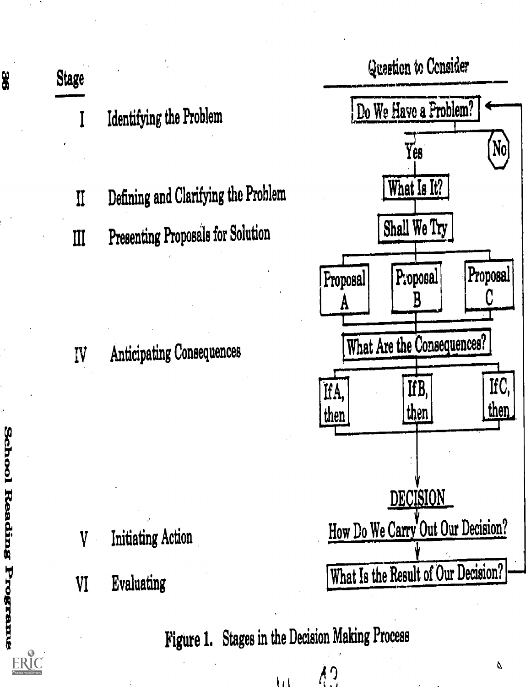

 $\frac{1}{2}$ ŋ

 $\mathbf{H}$ 

Do We Have a Problem?  $[No]$ Proposal Proposal C What Are the Consequences? IfC, then DECISION How Do We Carry Out Our Decision? What Is the Result of Our Decision?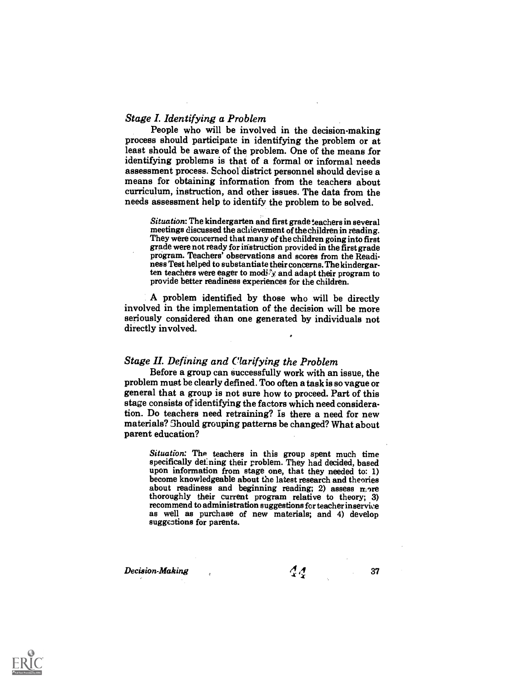### Stage I. Identifying a Problem

People who will be involved in the decision-making process should participate in identifying the problem or at least should be aware of the problem. One of the means for identifying problems is that of a formal or informal needs assessment process. School district personnel should devise a means for obtaining information from the teachers about curriculum, instruction, and other issues. The data from the needs assessment help to identify the problem to be solved.

Situation: The kindergarten and first grade teachers in several meetings discussed the achievement of the children in reading. They were concerned that many of the children going into first grade were not ready for instruction provided in the first grade ness Test helped to substantiate their concerns. The kindergarten teachers were eager to modify and adapt their program to provide better readiness experiences for the children.

A problem identified by those who will be directly involved in the implementation of the decision will be more seriously considered than one generated by individuals not directly involved.

## Stage II. Defining and Clarifying the Problem

Before a group can successfully work with an issue, the problem must be clearly defined. Too often a task is so vague or general that a group is not sure how to proceed. Part of this stage consists of identifying the factors which need consideration. Do teachers need retraining? Is there a need for new materials? Should grouping patterns be changed? What about parent education?

Situation: The teachers in this group spent much time specifically defining their problem. They had decided, based upon information from stage one, that they needed to: 1) become knowledgeable about the latest research and theories about readiness and beginning reading; 2) assess more thoroughly their current program relative to theory; 3) recommend to administration suggestions for teacher inservive as well as purchase of new materials; and 4) develop suggestions for parents.

Decision-Making ,  $\frac{1}{4}$   $\frac{1}{4}$  37

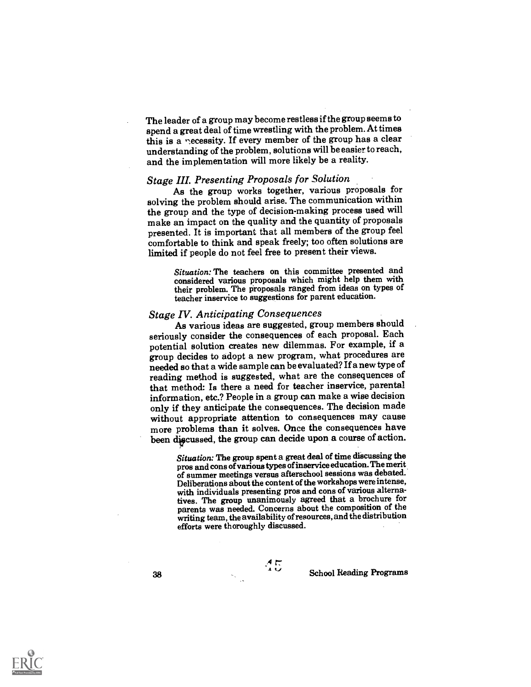The leader of a group may become restless if the group seems to spend a great deal of time wrestling with the problem. At times this is a necessity. If every member of the group has a clear understanding of the problem, solutions will be easier to reach, and the implementation will more likely be a reality.

### Stage III. Presenting Proposals for Solution

As the group works together, various proposals for solving the problem should arise. The communication within the group and the type of decision-making process used will make an impact on the quality and the quantity of proposals presented. It is important that all members of the group feel comfortable to think and speak freely; too often solutions are limited if people do not feel free to present their views.

> Situation: The teachers on this committee presented and considered various proposals which might help them with their problem. The proposals ranged from ideas on types of teacher inservice to suggestions for parent education.

## Stage IV. Anticipating Consequences

As various ideas are suggested, group members should seriously consider the consequences of each proposal. Each potential solution creates new dilemmas. For example, if a group decides to adopt a new program, what procedures are needed so that a wide sample can be evaluated? If a new type of reading method is suggested, what are the consequences of that method: Is there a need for teacher inservice, parental information, etc.? People in a group can make a wise decision only if they anticipate the consequences. The decision made without appropriate attention to consequences may cause more problems than it solves. Once the consequences have been discussed, the group can decide upon a course of action.

> Situation: The group spent a great deal of time discussing the pros and cons of various types ofinservice education. The merit of summer meetings versus afterschool sessions was debated. Deliberations about the content of the workshops were intense, with individuals presenting pros and cons of various alternatives. The group unanimously agreed that a brochure for parents was needed. Concerns about the composition of the writing team, the availability of resources, and the distribution efforts were thoroughly discussed.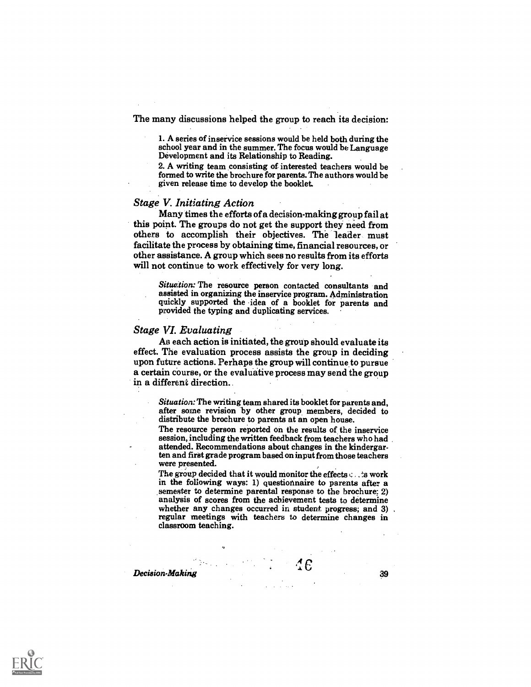The many discussions helped the group to reach its decision:

1. A series of inservice sessions would be held both during the school year and in the summer. The focus would be Language Development and its Relationship to Reading.

2. A writing team consisting of interested teachers would be formed to write the brochure for parents. The authors would be given release time to develop the booklet.

#### Stage V. Initiating Action

Many times the efforts of a decision-making group fail at this point. The groups do not get the support they need from others to accomplish their objectives. The leader must facilitate the process by obtaining time, financial resources, or other assistance. A group which sees no results from its efforts will not continue to work effectively for very long.

Situation: The resource person contacted consultants and assisted in organizing the inservice program. Administration quickly supported the idea of a booklet for parents and provided the typing and duplicating services.

#### Stage VI. Evaluating

As each action is initiated, the group should evaluate its effect. The evaluation process assists the group in deciding upon future actions. Perhaps the group will continue to pursue a certain course, or the evaluative process may send the group in a different direction..

Situation: The writing team shared its booklet for parents and, after some revision by other group members, decided to distribute the brochure to parents at an open house.

The resource person reported on the results of the inservice session, including the written feedback from teachers who had attended. Recommendations about changes in the kindergarten and first grade program based on input from those teachers were presented.

The group decided that it would monitor the effects  $\cdots$  is work in the following ways: 1) questionnaire to parents after a semester to determine parental response to the brochure; 2) analysis of scores from the achievement tests to determine whether any changes occurred in student progress; and 3) regular meetings with teachers to determine ch classroom teaching.

 $\mathcal{L}$  Decision-Making 39

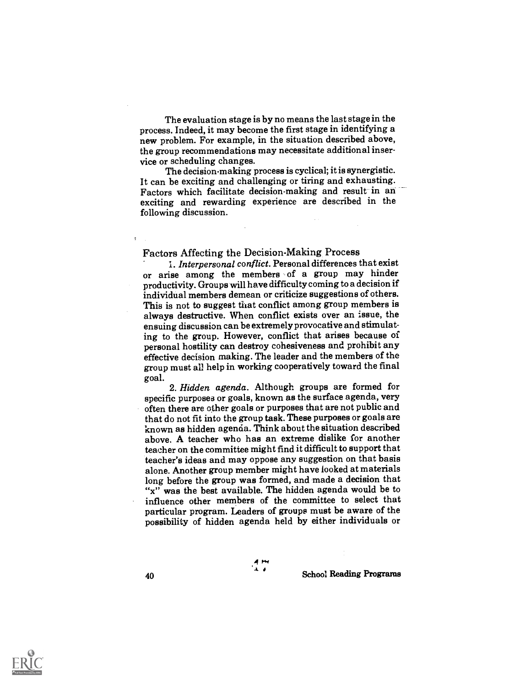The evaluation stage is by no means the last stage in the process. Indeed, it may become the first stage in identifying a new problem. For example, in the situation described above, the group recommendations may necessitate additional inservice or scheduling changes.

The decision-making process is cyclical; it is synergistic. It can be exciting and challenging or tiring and exhausting. Factors which facilitate decision-making and result in an exciting and rewarding experience are described in the following discussion.

Factors Affecting the Decision-Making Process<br>1. Interpersonal conflict. Personal differences that exist or arise among the members of a group may hinder productivity. Groups will have difficulty coming to a decision if individual members demean or criticize suggestions of others. This is not to suggest that conflict among group members is always destructive. When conflict exists over an issue, the ensuing discussion can be extremely provocative and stimulating to the group. However, conflict that arises because of personal hostility can destroy cohesiveness and prohibit any effective decision making. The leader and the members of the group must all help in working cooperatively toward the final

goal. 2. Hidden agenda. Although groups are formed for specific purposes or goals, known as the surface agenda, very often there are other goals or purposes that are not public and that do not fit into the group task. These purposes or goals are known as hidden agenda. Think about the situation described above. A teacher who has an extreme dislike for another teacher on the committee might find it difficult to support that teacher's ideas and may oppose any suggestion on that basis alone. Another group member might have looked at materials long before the group was formed, and made a decision that "x" was the best available. The hidden agenda would be to influence other members of the committee to select that particular program. Leaders of groups must be aware of the possibility of hidden agenda held by either individuals or

4r.4

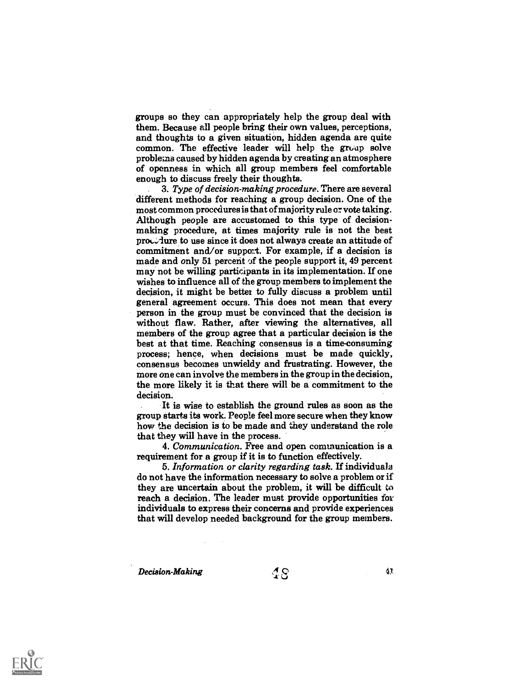groups so they can appropriately help the group deal with them. Because all people bring their own values, perceptions, and thoughts to a given situation, hidden agenda are quite common. The effective leader will help the group solve problems caused by hidden agenda by creating an atmosphere of openness in which all group members feel comfortable enough to discuss freely their thoughts.

3. Type of decision-making procedure. There are several different methods for reaching a group decision. One of the most common procedures is that of majority rule or vote taking. Although people are accustomed to this type of decisionmaking procedure, at times majority rule is not the best  $proc$ , dure to use since it does not always create an attitude of commitment and/or support. For example, if a decision is made and only 51 percent of the people support it,  $49$  percent may not be willing participants in its implementation. If one wishes to influence all of the group members to implement the decision, it might be better to fully discuss a problem until general agreement occurs. This does not mean that every person in the group must be convinced that the decision is without flaw. Rather, after viewing the alternatives, all members of the group agree that a particular decision is the best at that time. Reaching consensus is a time-consuming process; hence, when decisions must be made quickly, consensus becomes unwieldy and frustrating. However, the more one can involve the members in the group in the decision, the more likely it is that there will be a commitment to the decision.

It is wise to establish the ground rules as soon as the group starts its work. People feel more secure when they know how the decision is to be made and they understand the role that they will have in the process.

4. Communication. Free and open communication is a requirement for a group if it is to function effectively.

5. Information or clarity regarding task. If individuals do not have the information necessary to solve a problem or if they are uncertain about the problem, it will be difficult to reach a decision. The leader must provide opportunities for individuals to express their concerns and provide experiences that will develop needed background for the group members.

Decision-Making

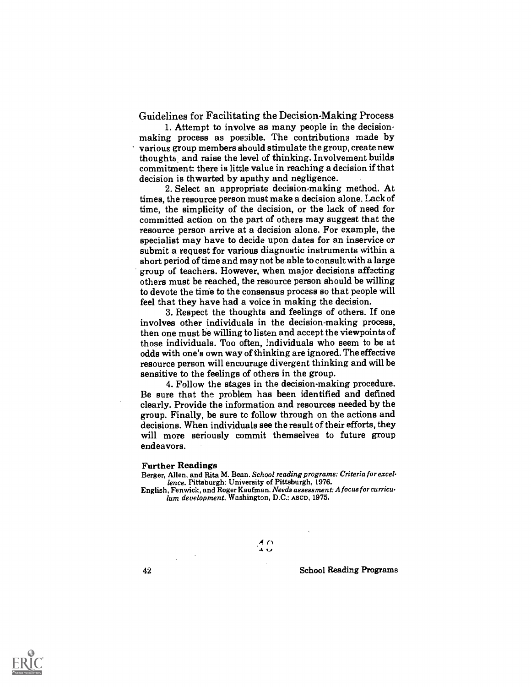Guidelines for Facilitating the Decision-Making Process

1. Attempt to involve as many people in the decisionmaking process as possible. The contributions made by various group members should stimulate the group, create new thoughts, and raise the level of thinking. Involvement builds commitment: there is little value in reaching a decision if that decision is thwarted by apathy and negligence.

2. Select an appropriate decision-making method. At times, the resource person must make a decision alone. Lack of time, the simplicity of the decision, or the lack of need for committed action on the part of others may suggest that the resource person arrive at a decision alone. For example, the specialist may have to decide upon dates for an inservice or submit a request for various diagnostic instruments within a short period of time and may not be able to consult with a large group of teachers. However, when major decisions affecting others must be reached, the resource person should be willing to devote the time to the consensus process so that people will feel that they have had a voice in making the decision.

3. Respect the thoughts and feelings of others. If one involves other individuals in the decision-making process, then one must be willing to listen and accept the viewpoints of those individuals. Too often, 2ndividuals who seem to be at odds with one's own way of thinking are ignored. The effective resource person will encourage divergent thinking and will be sensitive to the feelings of others in the group.

4. Follow the stages in the decision-making procedure. Be sure that the problem has been identified and defined clearly. Provide the information and resources needed by the group. Finally, be sure to follow through on the actions and decisions. When individuals see the result of their efforts, they will more seriously commit themselves to future group endeavors.

#### Further Readings

Berger, Allen, and Rita M. Bean. School reading programs: Criteria for excellence. Pittsburgh: University of Pittsburgh, 1976.

English, Fenwick, and Roger Kaufman. Needs assessment: A focus for curriculum development. Washington, D.C.: ASCD, 1975.

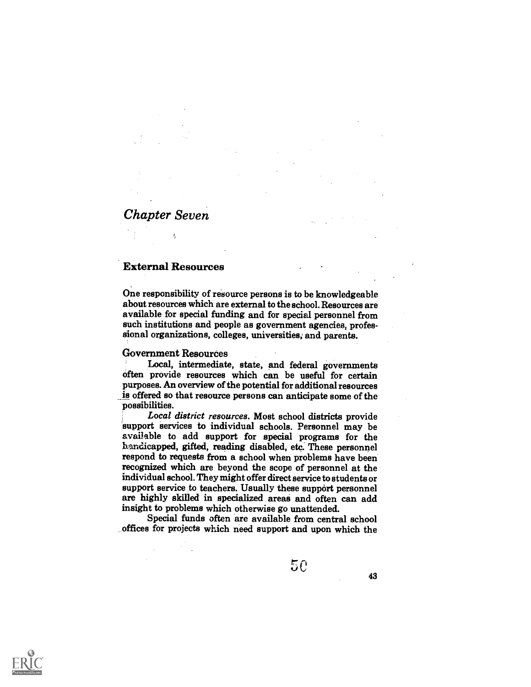# Chapter Seven

### External Resources

Ę

One responsibility of resource persons is to be knowledgeable about resources which are external to the school. Resources are available for special funding and for special personnel from such institutions and people as government agencies, professional organizations, colleges, universities; and parents.

### Government Resources

Local, intermediate, state, and federal governments often provide resources which can be useful for certain purposes. An overview of the potential for additional resources is offered so that resource persons can anticipate some of the possibilities.

Local district resources. Most school districts provide support services to individual schools. Personnel may be svailable to add support for special programs for the handicapped, gifted, reading disabled, etc. These personnel respond to requests from a school when problems have been recognized which are beyond the scope of personnel at the individual school. They might offer direct service to students or support service to teachers. Usually these support personnel are highly skilled in specialized areas and often can add insight to problems which otherwise go unattended.

Special funds often are available from central school offices for projects which need support and upon which the

43

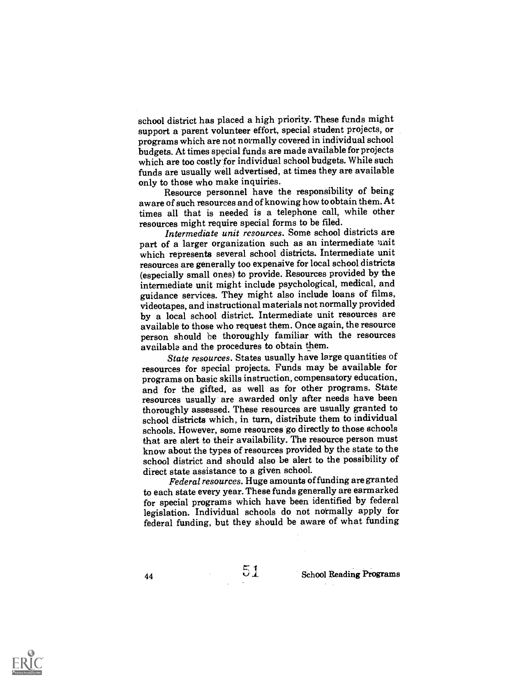school district has placed a high priority. These funds might support a parent volunteer effort, special student projects, or programs which are not normally covered in individual school budgets. At times special funds are made available for projects which are too costly for individual school budgets. While such funds are usually well advertised, at times they are available

only to those who make inquiries. Resource personnel have the responsibility of being aware of such resources and of knowing how to obtain them. At times all that is needed is a telephone call, while other resources might require special forms to be filed.

Intermediate unit resources. Some school districts are part of a larger organization such as an intermediate unit which represents several school districts. Intermediate unit resources are generally too expensive for local school districts (especially small ones) to provide. Resources provided by the intermediate unit might include psychological, medical, and guidance services. They might also include loans of films, videotapes, and instructional materials not normally provided by a local school district. Intermediate unit resources are available to those who request them. Once again, the resource person should be thoroughly familiar with the resources available and the procedures to obtain them.

State resources. States usually have large quantities of resources for special projects. Funds may be available for programs on basic skills instruction, compensatory education, and for the gifted, as well as for other programs. State resources usually are awarded only after needs have been thoroughly assessed. These resources are usually granted to school districts which, in turn, distribute them to individual schools. However, some resources go directly to those schools that are alert to their availability. The resource person must know about the types of resources provided by the state to the school district and should also be alert to the possibility of direct state assistance to a given school.

Federal resources. Huge amounts of funding are granted to each state every year. These funds generally are earmarked legislation. Individual schools do not normally apply for federal funding, but they should be aware of what funding

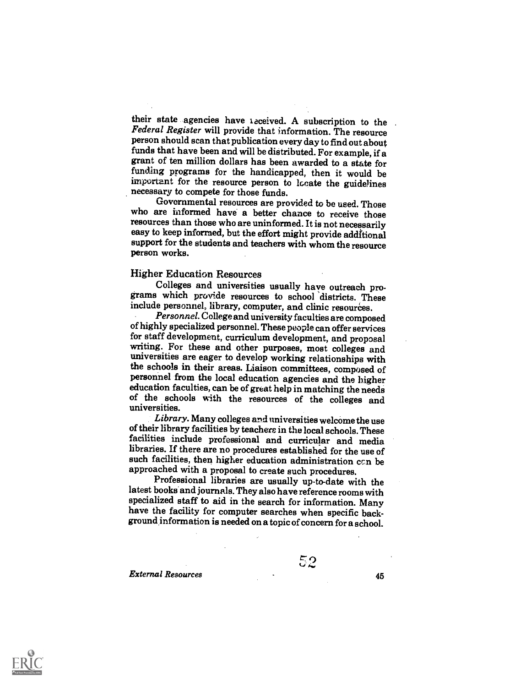their state agencies have ieceived. A subscription to the Federal Register will provide that information. The resource person should scan that publication every day to find out about grant of ten million dollars has been awarded to a state for funding programs for the handicapped, then it would be important for the resource person to locate the guidelines necessary to compete for those funds.

Governmental resources are provided to be used. Those who are informed have a better chance to receive those resources than those who are uninformed. It is not necessarily easy to keep informed, but the effort might provide additional support for the students and teachers with whom the resource person works.

Higher Education Resources<br>Colleges and universities usually have outreach programs which provide resources to school districts. These include personnel, library, computer, and clinic resources.<br>Personnel. College and university faculties are composed

of highly specialized personnel. These people can offer services for staff development, curriculum development, and proposal writing. For these and other purposes, most colleges and universities are eager to develop working relationships with the schools in their areas. Liaison committees, composed of personnel from the local education agencies and the higher<br>education faculties, can be of great help in matching the needs<br>of the schools with the resources of the colleges and universities.

Library. Many colleges and universities welcome the use of their library facilities by teachers in the local schools.These facilities include professional and curricular and media libraries. If there are no procedures established for the use of such facilities, then higher education administration can be approached with a proposal to create such procedures.

Professional libraries are usually up-to-date with the latest books and journals. They also have reference rooms with specialized staff to aid in the search for information. Many have the facility for computer searches when specific background information is needed on a topic of concern for a school.

External Resources 45

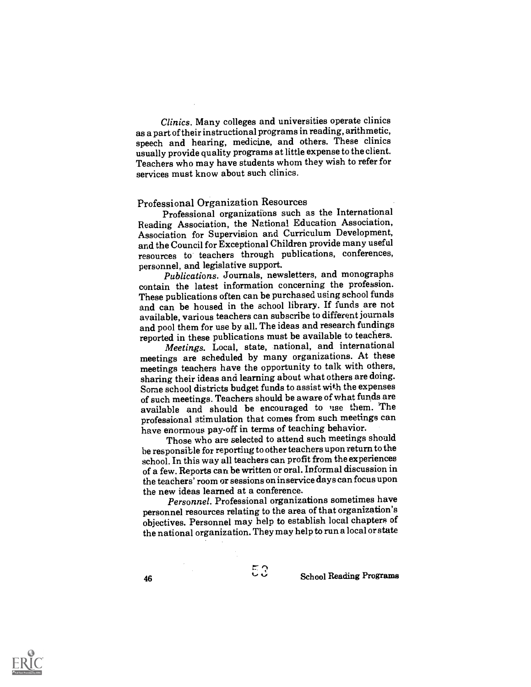Clinics. Many colleges and universities operate clinics as a part of their instructional programs in reading, arithmetic, speech and hearing, medicine, and others. These clinics usually provide quality programs at little expense to the client. Teachers who may have students whom they wish to refer for services must know about such clinics.

Professional Organization Resources Professional organizations such as the International Reading Association, the National Education Association, Association for Supervision and Curriculum Development, and the Council for Exceptional Children provide manyuseful resources to teachers through publications, conferences,

Publications. Journals, newsletters, and monographs contain the latest information concerning the profession. These publications often can be purchased using school funds and can be housed in the school library. If funds are not available, various teachers can subscribe to differentjournals and pool them for use by all. The ideas and research fundings reported in these publications must be available to teachers.

Meetings. Local, state, national, and international meetings are scheduled by many organizations. At these meetings teachers have the opportunity to talk with others, sharing their ideas and learning about what others are doing. Some school districts budget funds to assist with the expenses of such meetings. Teachers should be aware of what funds are available and should be encouraged to use them. The professional stimulation that comes from such meetings can have enormous pay-off in terms of teaching behavior.

Those who are selected to attend such meetings should be responsible for reporting to other teachers upon return tothe school. In this way all teachers can profit from the experiences of a few. Reports can be written or oral. Informal discussionin the teachers' room or sessions on inservice days can focus upon the new ideas learned at a conference.

Personnel. Professional organizations sometimes have personnel resources relating to the area of that organization's objectives. Personnel may help to establish local chapters of the national organization. They may help to run alocal or state

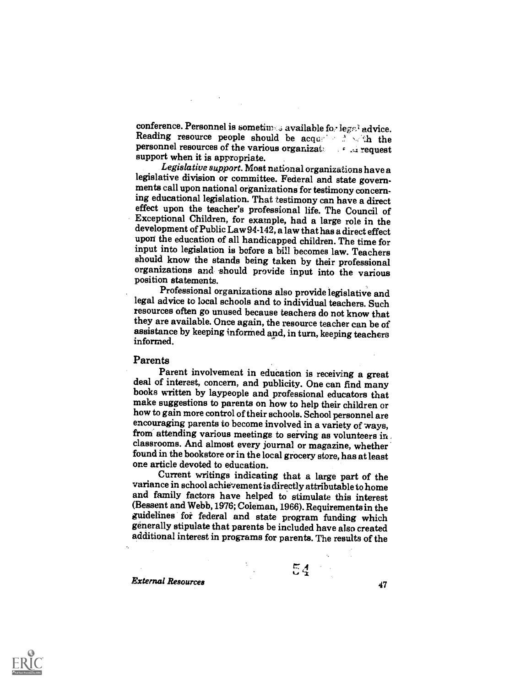conference. Personnel is sometimes available for legal advice.<br>Reading resource people should be acquired in the personnel resources of the various organizat: request support when it is appropriate.

Legislative support. Most national organizations have a legislative division or committee. Federal and state governments call upon national organizations for testimony concerning educational legislation. That testimony can have a direct effect upon the teacher's professional life. The Council of Exceptional Children, for example, had a large role in the development of Public Law 94-142, a law that has a direct effect upon the education of all handicapped children. The time for input into legislation is before a bill becomes law. Teachers organizations and should provide input into the various position statements.

Professional organizations also provide legislative and legal advice to local schools and to individual teachers. Such resources often go unused because teachers do not know that they are available. Once again, the resource teacher can be of assistance by keeping informed and, inturn, keeping teachers informed.

Parents<br>Parent involvement in education is receiving a great deal of interest, concern, and publicity. One can find many books written by laypeople and professional educators that make suggestions to parents on how to help their children or how to gain more control of their schools. School personnel are encouraging parents to become involved in a variety of ways, from attending various meetings to serving as volunteers in. classrooms. And almost every journal or magazine, whether found in the bookstore or in the local grocery store, has at least one article devoted to education.

Current writings indicating that a large part of the variance in school achievement is directly attributableto home and family factors have helped to stimulate this interest (Bessent and Webb, 1976; Coleman, 1966). Requirementsin the guidelines for federal and state program funding which generally stipulate that parents be included have also created additional interest in programs for parents. The results of the

 $54<sup>1</sup>$ 

External Resources <sup>47</sup>

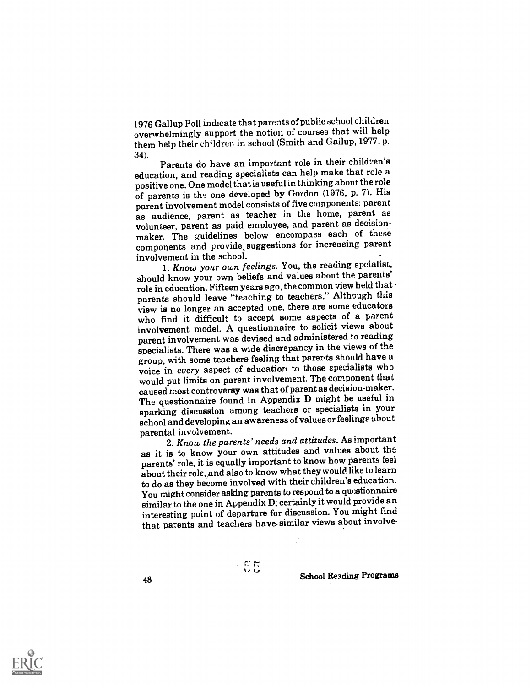1976 Gallup Poll indicate that parentsof public school children overwhelmingly support the notion of courses that will help them help their children in school (Smith and Gailup, 1977, p.

34). Parents do have an important role in their children's education, and reading specialists can help make that role a positive one. One model that is useful in thinking about the role of parents is the one developed by Gordon (1976, p. 7). His parent involvement model consists of five components: parent as audience, parent as teacher in the home, parent as volunteer, parent as paid employee, and parent as decisionmaker. The guidelines below encompass each of these components and provide, suggestions for increasing parent involvement in the school.

1. Know your own feelings. You, the reading spcialist, should know your own beliefs and values about the parents' role in education. Fifteen years ago, the common view held that parents should leave "teaching to teachers." Although this view is no longer an accepted one, there are some educators who find it difficult to accept some aspects of a parent involvement model. A questionnaire to solicit views about parent involvement was devised and administered to reading specialists. There was a wide discrepancy in the views of the group, with some teachers feeling that parents should have a voice in every aspect of education to those specialists who would put limits on parent involvement. The component that caused moat controversy was that of parent as decision-maker. The questionnaire found in Appendix D might be useful in sparking discussion among teachers or specialists in your school and developing an awareness of values or feelings about parental involvement.

2. Know the parents' needs and attitudes. As important as it is to know your own attitudes and values about the parents' role, it is equally important to know how parents feel about their role,,and also to know what they would like to learn to do as they become involved with their children's education. You might consider asking parents to respond to a questionnaire similar to the one in Appendix D; certainly it would provide an interesting point of departure for discussion. You might find that parents and teachers have similar views about involve-

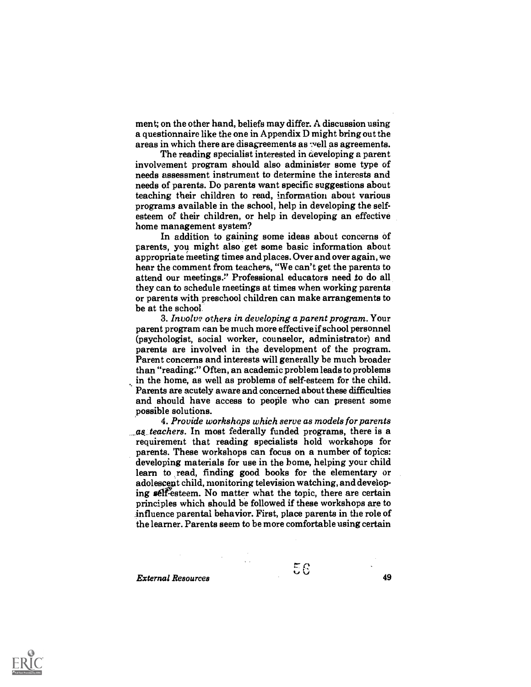ment; on the other hand, beliefs may differ. A discussion using a questionnaire like the one in Appendix D might bring out the areas in which there are disagreements as well as agreements.

The reading specialist interested in developing a parent involvement program should also administer some type of needs assessment instrument to determine the interests and needs of parents. Do parents want specific suggestions about teaching their children to read, information about various programs available in the school, help in developing the selfesteem of their children, or help in developing an effective home management system?

In addition to gaining some ideas about concerns of parents, you might also get some basic information about appropriate meeting times and places. Over and over again, we hear the comment from teachers, "We can't get the parents to attend our meetings." Professional educators need to do all they can to schedule meetings at times when working parents or parents with preschool children can make arrangements to be at the school

3. Involve others in developing a parent program. Your parent program can be much more effective if school personnel (psychologist, social worker, counselor, administrator) and parents are involved in the development of the program. Parent concerns and interests will generally be much broader than "reading:" Often, an academic problem leads to problems in the home, as well as problems of self-esteem for the child. k, Parents are acutely aware and concerned about these difficulties and should have access to people who can present some possible solutions.

4. Provide workshops which serve as models for parents as teachers. In most federally funded programs, there is a requirement that reading specialists hold workshops for parents. These workshops can focus on a number of topics: developing materials for use in the home, helping your child learn to read, finding good books for the elementary or adolescept child, monitoring television watching, and developing self-esteem. No matter what the topic, there are certain principles which should be followed if these workshops are to influence parental behavior. First, place parents in the role of the learner. Parents seem to be more comfortable using certain

External Resources 49

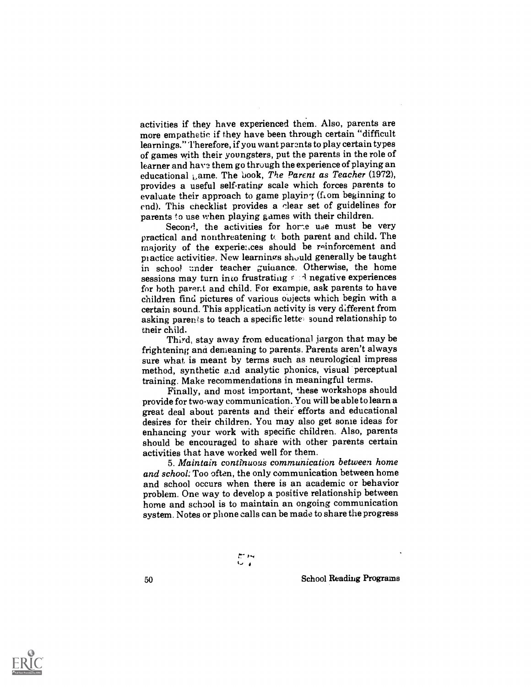activities if they have experienced them. Also, parents are more empathetic if they have been through certain "difficult learnings." Therefore, if you want parents to play certain types of games with their youngsters, put the parents in the role of learner and have them go through the experience of playing an educational Lame. The book, The Parent as Teacher (1972), provides a useful self-rating scale which forces parents to evaluate their approach to game playing (from beginning to end). This checklist provides a clear set of guidelines for parents to use when playing games with their children.<br>Second, the activities for home use must be very

practical and nonthreatening  $t_0$  both parent and child. The majority of the experiences should be reinforcement and practice activities. New learnings should generally be taught in school under teacher guidance. Otherwise, the home sessions may turn into frustrating  $f : A$  negative experiences for both parent and child. For example, ask parents to have children find pictures of various oujects which begin with a certain sound. This application activity is very different from asking parents to teach a specific letter sound relationship to their child.

Third, stay away from educational jargon that may be frightening and demeaning to parents. Parents aren't always sure what is meant by terms such as neurological impress method, synthetic and analytic phonics, visual perceptual training. Make recommendations in meaningful terms.

Finally, and most important, these workshops should provide for two-way communication. You will be able to learn a great deal about parents and their efforts and educational desires for their children. You may also get some ideas for enhancing your work with specific children. Also, parents should be encouraged to share with other parents certain activities that have worked well for them.

5. Maintain continuous communication between home and school. Too often, the only communication between home and school occurs when there is an academic or behavior problem. One way to develop a positive relationship between home and school is to maintain an ongoing communication system. Notes or phone calls can be made to share the progress

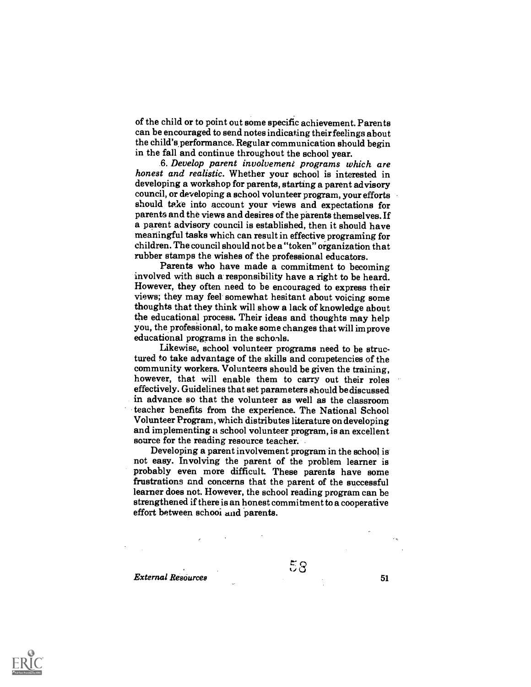of the child or to point out some specific achievement. Parents can be encouraged to send notes indicating their feelings about the child's. performance. Regular communication should begin in the fall and continue throughout the school year.

6. Develop parent involvement programs which are honest and realistic. Whether your school is interested in developing a workshop for parents, starting a parent advisory council, or developing a school volunteer program, your efforts should take into account your views and expectations for parents and the views and desires of the parents themselves. If a parent advisory council is established, then it should have meaningful tasks which can result in effective programing for children. The council should not be a "token" organization that rubber stamps the wishes of the professional educators.

Parents who have made a commitment to becoming involved with such a responsibility have a right to be heard. However, they often need to be encouraged to express their views; they may feel somewhat hesitant about voicing some thoughts that they think will show a lack of knowledge about the educational process. Their ideas and thoughts may help you, the professional, to make some changes that will improve educational programs in the schools.

Likewise, school volunteer programs need to be structured to take advantage of the skills and competencies of the community workers. Volunteers should be given the training, however, that will enable them to carry out their roles effectively. Guidelines that set parameters should be discussed in advance so that the volunteer as well as the classroom teacher benefits from the experience. The National School Volunteer Program, which distributes literature on developing and implementing a school volunteer program, is an excellent source for the reading resource teacher.

Developing a parent involvement program in the school is not easy. Involving the parent of the problem learner is probably even more difficult. These parents have some frustrations and concerns that the parent of the successful learner does not. However, the school reading program can be strengthened if there is an honest commitment to a cooperative effort between schooi and parents.

External Resources 51

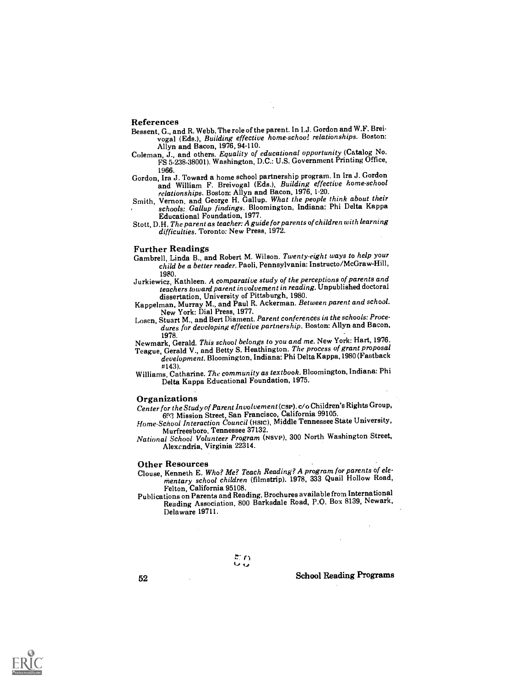#### References

- Bessent, G., and R. Webb. The role of the parent. In I.J. Gordon and W.F. Breivogal (Eds.), Building effective home-schoo! relationships. Boston: Allyn and Bacon, 1976, 94-110.
- Coleman, J., and others. Equality of educational opportunity (Catalog No. FS 5-238-38001). Washington, D.C.: U.S. Government Printing Office,
- 1966. Gordon, Ira J. Toward a home school partnership program. In Ira J. Gordon and William F. Breivogal (Eds.), Building effective home-school relationships. Boston: Allyn and Bacon, 1976, 1-20.
- Smith, Vernon, and George H. Gallup. What the people think about their schools: Gallup findings. Bloomington, Indiana: Phi Delta Kappa Educational Foundation, 1977.
- Stott, D.H. The parent as teacher: A guide for parents of children with learning difficulties. Toronto: New Press, 1972.

- Further Readings<br>Gambrell, Linda B., and Robert M. Wilson. Twenty-eight ways to help your child be a better reader. Paoli, Pennsylvania: Instructo/McGraw-Hill,
- 1980. Jurkiewicz, Kathleen. A comparative study of the perceptions of parents and teachers toward parent involvement in reading. Unpublished doctoral dissertation, University of Pittsburgh, 1980.
- Kappelman, Murray M., and Paul R. Ackerman. Between parent and school. New York: Dial Press, 1977.
- Losen, Stuart M., and Bert Diament. Parent conferences in the schools: Procedures for developing effective partnership. Boston: Allyn and Bacon,

1978. Newmark, Gerald. This school belongs to you and me. New York: Hart, 1976.

Teague, Gerald V., and Betty S. Heathington. The process of grant proposal development. Bloomington, Indiana: Phi Delta Kappa, 1980 (Fastback

#143). Williams, Catharine. The community as textbook. Bloomington, Indiana: Phi Delta Kappa Educational Foundation, 1975.

## Organizations

Center for the Study of Parent Involvement(csP).c/o Children's Rights Group, 691 Mission Street, San Francisco, California 99105.

Home-School Interaction Council (Hslc), Middle Tennessee State University, Murfreesboro, Tennessee 37132.

National School Volunteer Program (NsvP), 300 North Washington Street, Alexcndria, Virginia 22314.

#### Other Resources

Clouse, Kenneth E. Who? Me? Teach Reading? A programfor parents of elementary school children (filmstrip). 1978, 333 Quail Hollow Road, Felton, California 95108.

Publications on Parents and Reading. Brochures available from International Reading Association, 800 Barksdale Road, P.O. Box 8139, Newark, Delaware 19711.

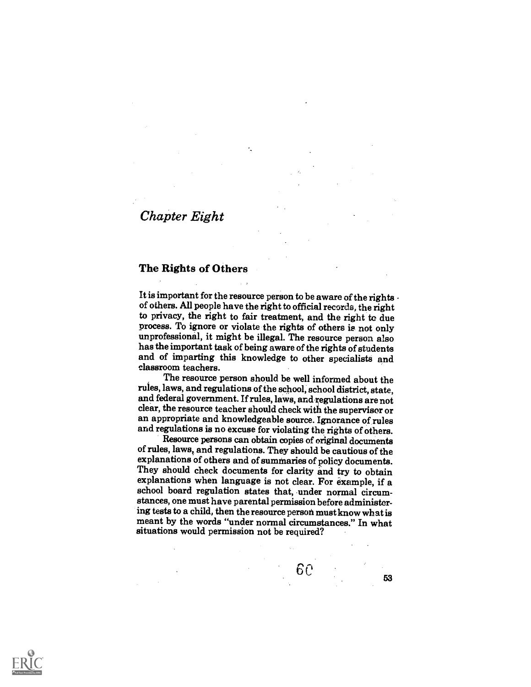# Chapter Eight

### The Rights of Others

It is important for the resource person to be aware of the rights -<br>of others. All people have the right to official records, the right to privacy, the right to fair treatment, and the right to due process. To ignore or violate the rights of others is not only unprofessional, it might be illegal. The resource person also has the important task of being aware of the rights of students and of imparting this knowledge to other specialists and classroom teachers.

The resource person should be well informed about the rules, laws, and regulations of the school,school district, state, and federal government. If rules, laws, and regulations are not clear, the resource teacher should check with the supervisor or an appropriate and knowledgeable source. Ignorance of rules and regulations is no excuse for violating the rights of others.

Resource persons can obtain copies of original documents of rules, laws, and regulations. They should be cautious of the explanations of others and of summaries of policy documents. They should check documents for clarity and try to obtain explanations when language is not clear. For example, if a school board regulation states that, under normal circumstances, one must have parental permission before administering tests to a child, then the resource person must know what is meant by the words "under normal circumstances." In what situations would permission not be required?

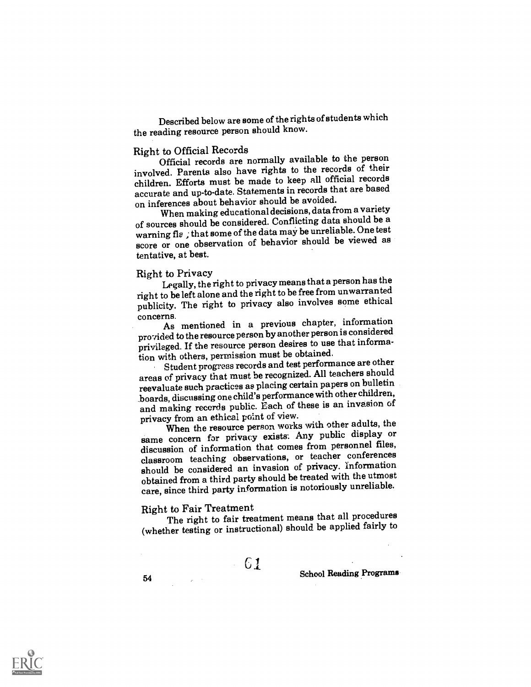Described below are some of the rights of students which the reading resource person should know.

Right to Official Records<br>Official records are normally available to the person involved. Parents also have rights to the records of their children. Efforts must be made to keep all official records accurate and up-to-date. Statements in records that are based on inferences about behavior should be avoided.

When making educational decisions, data from a variety of sources should be considered. Conflicting data should be a warning fle ; that some of the data may be unreliable. One test score or one observation of behavior should be viewed as tentative, at best.

## Right to Privacy

Legally, the right to privacy meansthat a person has the right to be left alone and the right to be free from unwarranted publicity. The right to privacy also involves some ethical

concerns. As mentioned in a previous chapter, information provided to the resource person by another person is considered privileged. If the resource person desires to use that information with others, permission must be obtained.

Student progress records and test performance are other areas of privacy that must be recognized. All teachers should reevaluate such practices as placing certain papers on bulletin \_boards, discussing one child's performance with other children, and making records public. Each of these is an invasion of privacy from an ethical point of view.

When the resource person works with other adults, the same concern for privacy exists. Any public display or discussion of information that comes from personnel files, classroom teaching observations, or teacher conferences should be considered an invasion of privacy. information obtained from a third party should be treated with the utmost care, since third party information is notoriously unreliable.

Right to Fair Treatment The right to fair treatment means that all procedures (whether testing or instructional) should be applied fairly to

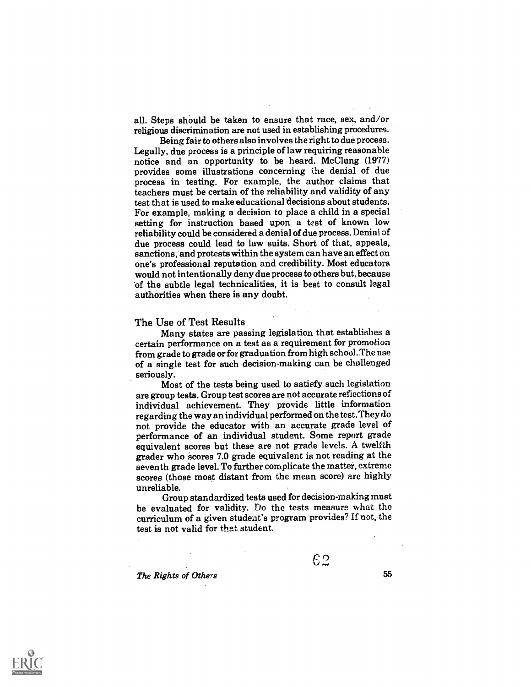all. Steps should be taken to ensure that race, sex, and/or religious discrimination are not used in establishing procedures.

Being fair to others also involves the right to due process. Legally, due process is a principle of law requiring reasonable notice and an opportunity to be heard. McClung (1977) provides some illustrations concerning the denial of due process in testing. For example, the author claims that teachers must be certain of the reliability and validity of any test that is used to make educational decisions about students. For example, making a decision to place a child in a special setting for instruction based upon a test of known low reliability could be considered a denial of due process. Denial of due process could lead to law suits. Short of that, appeals, sanctions, and protests within the system can have an effect on one's professional reputation and credibility. Most educators would not intentionally deny due process to others but, because of the subtle legal technicalities, it is best to consult legal authorities when there is any doubt.

#### The Use of Test Results

Many states are passing legislation that establishes a certain performance on a test as a requirement for promotion from grade to grade or for graduation from high school. The use of a single test for such decision-making can be challenged

seriously. Most of the tests being used to satisfy such legislation are group tests. Group test scores are not accurate reflections of individual achievement. They provide little information regarding the way an individual performed on the test. They do not provide the educator with an accurate grade level of performance of an individual student. Some report grade equivalent scores but these are not grade levels. A twelfth grader who scores 7.0 grade equivalent is not reading at the seventh grade level. To further complicate the matter, extreme scores (those most distant from the mean score) are highly unreliable.

Group standardized tests used for decision-making must be evaluated for validity. Do the tests measure what the curriculum of a given student's program provides? If not, the test is not valid for that student.

The Rights of Others 55

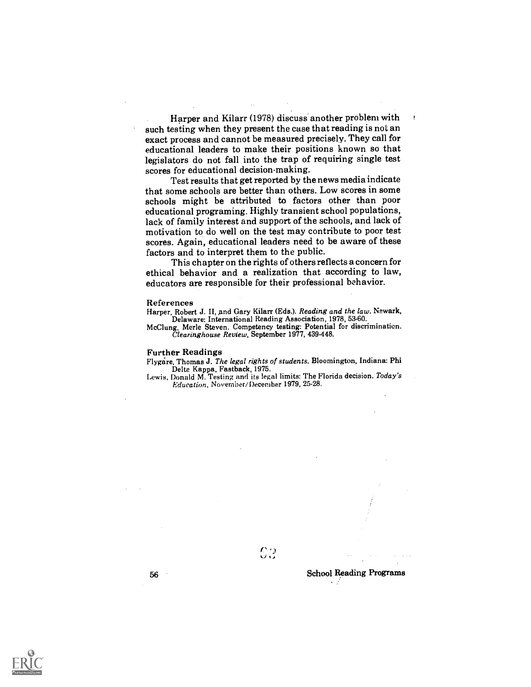Harper and Kilarr (1978) discuss another problem with such testing when they present the case that reading is not an exact process and cannot be measured precisely. They call for educational leaders to make their positions known so that legislators do not fall into the trap of requiring single test scores for educational decision-making.

Test results that get reported by the news media indicate that some schools are better than others. Low scores in some schools might be attributed to factors other than poor educational programing. Highly transient school populations, lack of family interest and support of the schools, and lack of motivation to do well on the test may contribute to poor test scores. Again, educational leaders need to be aware of these factors and to interpret them to the public.

This chapter on the rights of others reflects a concern for ethical behavior and a realization that according to law, educators are responsible for their professional behavior.

#### References

Harper, Robert J. II, and Gary Kilarr (Eds.). Reading and the law. Newark, Delaware: International Reading Association, 1978, 53-60.

McClung, Merle Steven. Competency testing: Potential for discrimination. Clearinghouse Review, September 1977, 439.448.

#### Further Readings

Flygare, Thomas J. The legal rights of students. Bloomington, Indiana: Phi

Lewis, Donald M. Testing and its legal limits: The Florida decision. Today's Education, November/December 1979, 25-28.

 $c_3$  . The set of  $c_3$ 



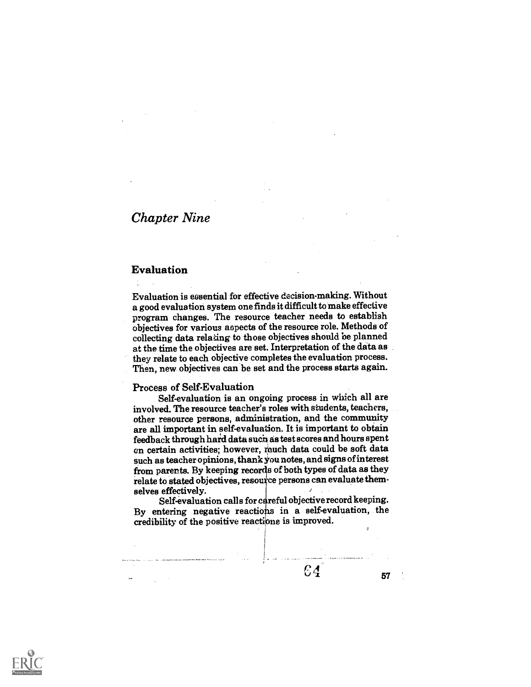# Chapter Nine

## Evaluation

Evaluation is essential for effective decision-making. Without a good evaluation system one finds itdifficult to make effective program changes. The resource teacher needs to establish objectives for various aspects of the resource role. Methods of collecting data relating to those objectives should be planned at the time the objectives are set. Interpretation of the data as they relate to each objective completes the evaluation process. Then, new objectives can be set and the process starts again.

### Process of Self-Evaluation

Self-evaluation is an ongoing process in which all are involved. The resource teacher's roles with students, teachers, other resource persons, administration, and the community are all important in self-evaluation. It is important to obtain feedback through hard data such as test scores and hours spent on certain activities; however, much data could be soft data such as teacher opinions, thank You notes, and signs of interest from parents. By keeping records of both types of data as they relate to stated objectives, resource persons can evaluate themselves effectively.

Self-evaluation calls for careful objective record keeping. By entering negative reactions in a self-evaluation, the credibility of the positive reactions is improved.



57

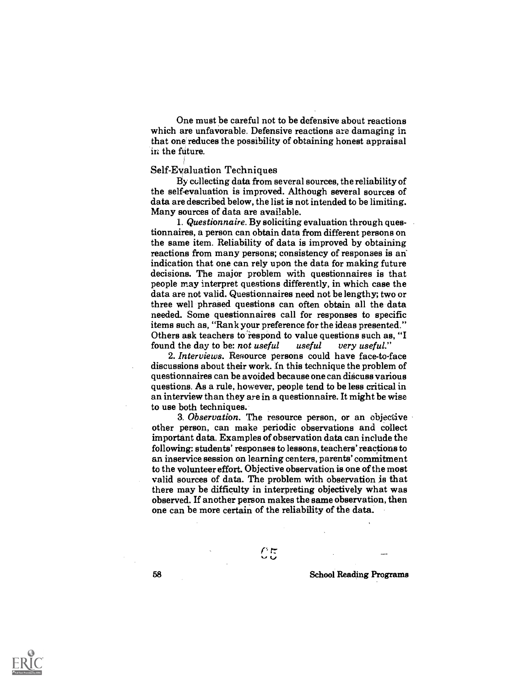One must be careful not to be defensive about reactions which are unfavorable. Defensive reactions are damaging in that one reduces the possibility of obtaining honest appraisal in the future.

#### Self-Eyaluation Techniques

By collecting data from several sources, the reliability of the self-evaluation is improved. Although several sources of data are described below, the list is not intended to be limiting. Many sources of data are available.

1. Questionnaire. By soliciting evaluation through questionnaires, a person can obtain data from different persons on the same item. Reliability of data is improved by obtaining reactions from many persons; consistency of responses is an indication that one can rely upon the data for making future decisions. The major problem with questionnaires is that people may interpret questions differently, in which case the data are not valid. Questionnaires need not be lengthy; two or three well phrased questions can often obtain all the data needed. Some questionnaires call for responses to specific items such as, "Rank your preference for the ideas presented." Others ask teachers to respond to value questions such as, "I found the day to be: not useful useful very useful." found the day to be: not useful useful very useful."

2. Interviews. Resource persons could have face-to-face discussions about their work. In this technique the problem of questionnaires can be avoided because one can discuss various questions. As a rule, however, people tend to be less critical in an interview than they are in a questionnaire. It might be wise to use both techniques.

3. Observation. The resource person, or an objective other person, can make periodic observations and collect important data. Examples of observation data can include the following: students' responses to lessons, teachers' reactions to an inservice session on learning centers, parents' commitment to the volunteer effort. Objective observation is one of the most valid sources of data. The problem with observation is that there may be difficulty in interpreting objectively what was observed. If another person makes the same observation, then one can be more certain of the reliability of the data.

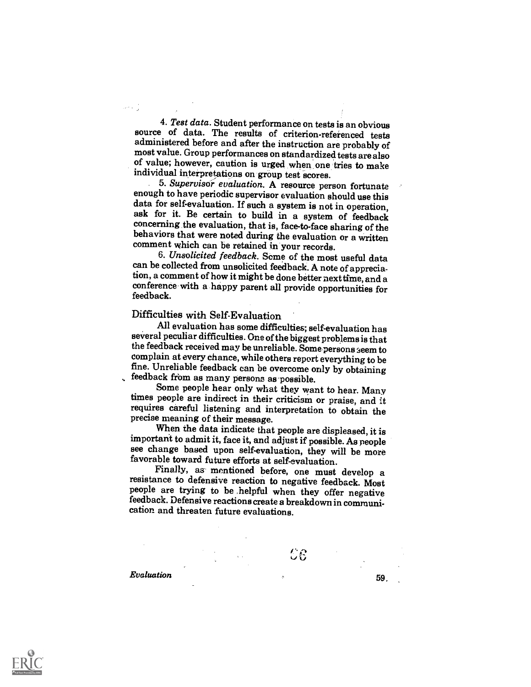4. Test data. Student performance on tests is an obvious source of data. The results of criterion-referenced tests administered before and after the instruction are probably of most value. Group performances on standardized tests are also of value; however, caution is urged when one tries to make individual interpretations on group test scores.

5. Supervisor evaluation. A resource person fortunate enough to have periodic supervisor evaluation should use this data for self-evaluation. If such a system is not in operation. ask for it. Be certain to build in a system of feedback concerning the evaluation, that is, face-to-face sharing of the behaviors that were noted during the evaluation or a written comment which can be retained in your records.

6. Unsolicited feedback. Some of the most useful data can be collected from unsolicited feedback. A note of appreciation, a comment of how it might be done better next time, and a conference with a happy parent all provide opportunities for feedback.

## Difficulties with Self-Evaluation

All evaluation has some difficulties; seIf-evaluation has several peculiar difficulties. One of the biggest problems is that the feedback received may be unreliable. Some persons seem to complain at every chance, while others report everything to be fine. Unreliable feedback can be overcome only by obtaining

Some people hear only what they want to hear. Many<br>times people are indirect in their criticism or praise, and it requires careful listening and interpretation to obtain the precise meaning of their message.

When the data indicate that people are displeased, it is important to admit it, face it, and adjust if possible. As people see change based upon self-evaluation, they will be more favorable toward future efforts at self-evaluation.

Finally, as mentioned before, one must develop a people are trying to be helpful when they offer negative feedback. Defensive reactions create a breakdown in communication and threaten future evaluations.

**Evaluation** 59,

ر<br>والد الأمير

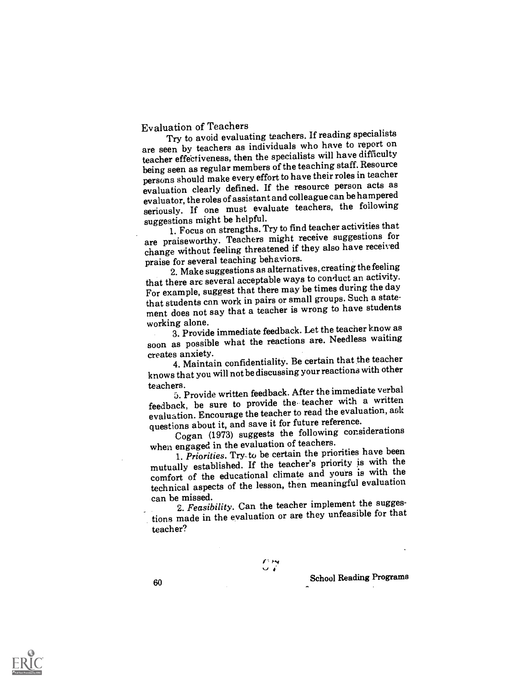## Evaluation of Teachers

Try to avoid evaluating teachers. If reading specialists are seen by teachers as individuals who have to report on teacher effectiveness, then the specialists will have difficulty being seen as regular members of the teaching staff. Resource persons should make every effort to have their roles in teacher evaluation clearly defined. If the resource person acts as evaluator, the roles of assistantand colleague can be hampered seriously. If one must evaluate teachers, the following suggestions might be helpful.

1. Focus on strengths. Try to find teacher activities that are praiseworthy. Teachers might receive suggestions for change without feeling threatened if they also have received praise for several teaching behaviors.

2. Make suggestions as alternatives, creating the feeling that there are several acceptable ways to conduct an activity. For example, suggest that there may be times during the day that students can work in pairs or small groups. Such a statement does not say that a teacher is wrong to have students working alone.

3. Provide immediate feedback. Let the teacher know as soon as possible what the reactions are. Needless waiting creates anxiety.

4. Maintain confidentiality. Be certain that the teacher knows that you will not be discussing your reactions with other

teachers. 5. Provide written feedback. After the immediate verbal feedback, be sure to provide the. teacher with a written evaluation. Encourage the teacher to read the evaluation, ask questions about it, and save it for future reference.

Cogan (1973) suggests the following considerations when engaged in the evaluation of teachers.

1. Priorities. Try-to be certain the priorities have been mutually established. If the teacher's priority is with the comfort of the educational climate and yours is with the technical aspects of the lesson, then meaningful evaluation can be missed.

2. Feasibility. Can the teacher implement the suggestions made in the evaluation or are they unfeasible for that teacher?

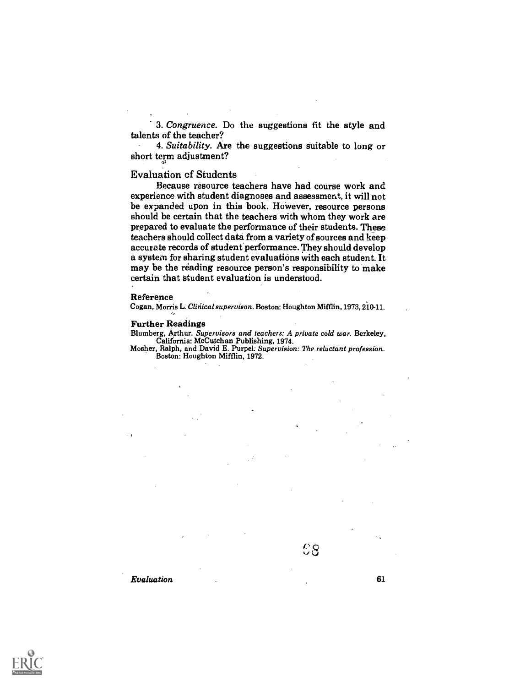3. Congruence. Do the suggestions fit the style and talents of the teacher?

4. Suitability. Are the suggestions suitable to long or short term adjustment?

### Evaluation of Students

Because resource teachers have had course work and experience with student diagnoses and assessment, it will not be expanded upon in this book. However, resource persons should be certain that the teachers with whom they work are prepared to evaluate the performance of their students. These teachers should collect data from a variety of sources and keep accurate records of student performance. They should develop a system for sharing student evaluations with each student. It may be the reading resource person's responsibility to make certain that Student evaluation is understood.

#### Reference

Cogan, Morris L. Clinical supervison. Boston: Houghton Mifflin, 1973, 210-11.

#### Further Readings

Blumberg, Arthur. Supervisors and teachers: A private cold war. Berkeley, California: McCutchan Publishing, 1974.

Mosher, Ralph, and David E. Purpel. Supervision: The reluctant profession. Boston: Houghton Mifflin, 1972.



 $\mathbb{C}8$  . The set of  $\mathbb{C}8$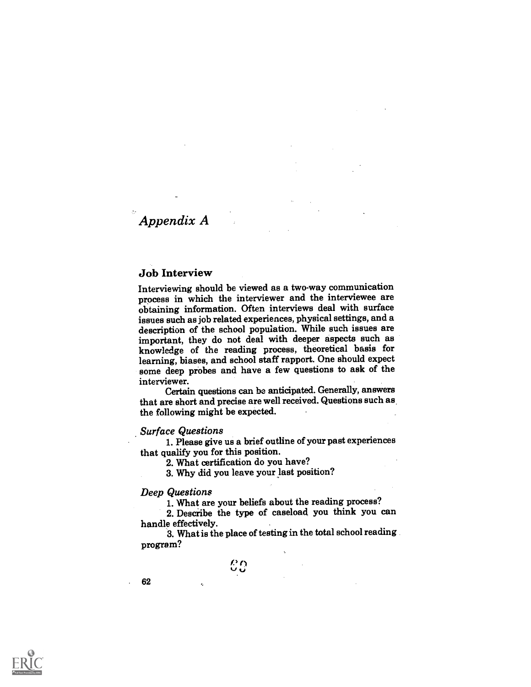# Appendix A

### Job Interview

Interviewing should be viewed as a two-way communication process in which the interviewer and the interviewee are obtaining information. Often interviews deal with surface issues such as job related experiences, physical settings, and a description of the school population. While such issues are important, they do not deal with deeper aspects such as knowledge of the reading process, theoretical basis for learning, biases, and school staff rapport. One should expect some deep probes and have a few questions to ask of the interviewer.

Certain questions can be anticipated. Generally, answers that are short and precise are well received. Questions such as the following might be expected.

#### Surface Questions

1. Please give us a brief outline of your past experiences that qualify you for this position.

2. What certification do you have?

3. Why did you leave your last position?

Deep Questions<br>1. What are your beliefs about the reading process?

2. Describe the type of caseload you think you can

handle effectively. 3. What is the place of testing in the total school reading program?

> $\Omega$  and  $\Omega$ co<br>Co

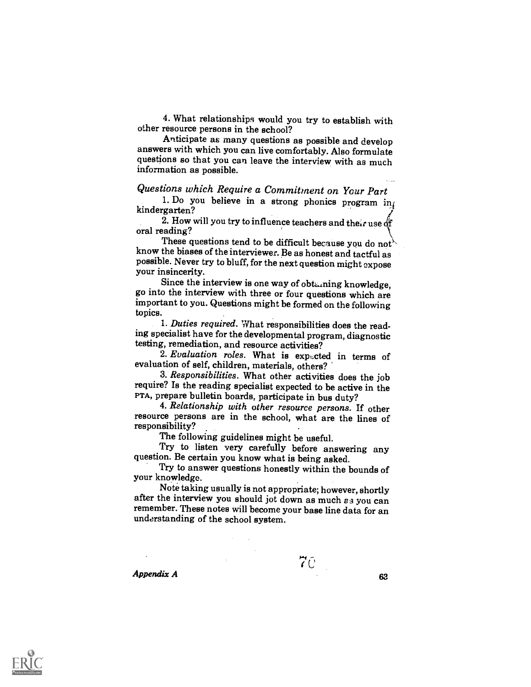4. What relationships would you try to establish with other resource persons in the school?

Anticipate as many questions as possible and develop answers with which you can live comfortably. Also formulate questions so that you can leave the interview with as much information as possible.

## Questions which Require a Commitment on Your Part

1. Do you believe in a strong phonics program in kindergarten?

2. How will you try to influence teachers and their use of oral reading?<br>These questions tend to be difficult because you do not

know the biases of the interviewer. Be as honest and tactful as possible. Never try to bluff, for the next question might expose<br>your insincerity.<br>Since the interview is one way of obtaining knowledge,

go into the interview with three or four questions which are important to you. Questions might be formed on the following topics.

1. Duties required. What responsibilities does the reading specialist have for the developmental program, diagnostic testing, remediation, and resource activities?

2. Evaluation roles. What is expected in terms of evaluation of self, children, materials, others?

3. Responsibilities. What other activities does the job require? Is the reading specialist expected to be active in the

4. Relationship with other resource persons. If other resource persons are in the school, what are the lines of responsibility?<br>The following guidelines might be useful.

Try to listen very carefully before answering any question. Be certain you know what is being asked.

Try to answer questions honestly within the bounds of your knowledge.

Note taking usually is not appropriate; however, shortly after the interview you should jot down as much  $s_3$  you can remember. These notes will become your base line data for an understanding of the school system.

 $Appendix A$  63

7e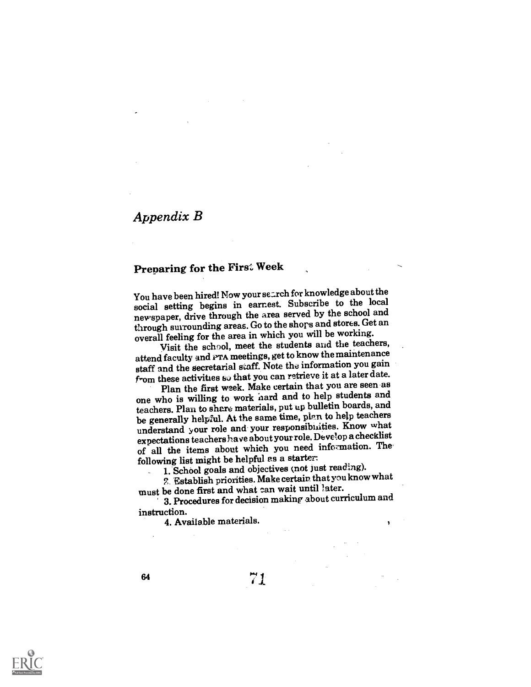# Appendix B

# Preparing for the First Week

You have been hired! Now your search for knowledge about the social setting begins in earnest. Subscribe to the local newspaper, drive through the area served by the school and through surrounding areas. Go to the shops and stores. Get an overall feeling for the area in which you will be working.

Visit the school, meet the students and the teachers, attend faculty and PTA meetings, get to know the maintenance staff and the secretarial staff. Note the information you gain  $f_{\text{r}om}$  these activities  $s\circ$  that you can retrieve it at a later date.

Plan the first week. Make certain that you are seen as one who is willing to work hard and to help students and teachers. Plan to share materials, put up bulletin boards, and be generally helpful. At the same time, plan to help teachers understand your role and your responsibilities. Know what expectations teachers have about yourrole. Develop a checklist of all the items about which you need information. Thefollowing list might be helpful es a starter

1. School goals and objectives (not just reading).

2 Establish priorities. Make certain that you knowwhat must be done first and what can wait until later.

3. Procedures for decision making about curriculum and instruction.

4. Available materials.



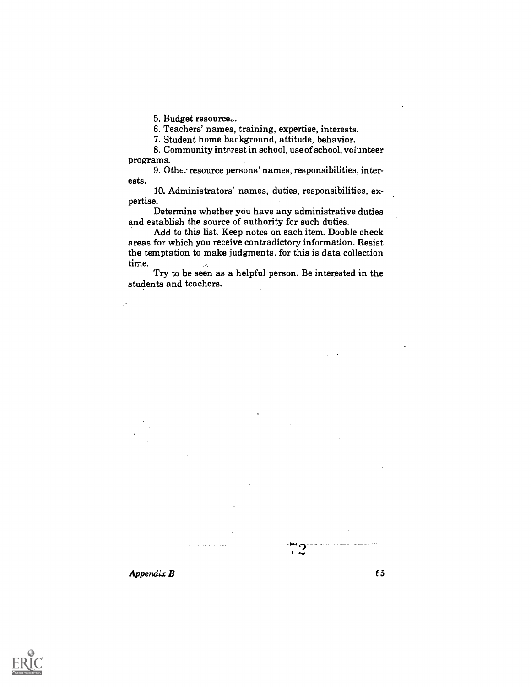5. Budget resources.

6. Teachers' names, training, expertise, interests.

7. Student home background, attitude, behavior.

8. Community interest in school, use of school, volunteer programs.

9. Othe: resource persons' names, responsibilities, interests.

10. Administrators' names, duties, responsibilities, expertise.

Determine whether you have any administrative duties and establish the source of authority for such duties.

Add to this list. Keep notes on each item. Double check areas for which you receive contradictory information. Resist the temptation to make judgments, for this is data collection time.

Try to be seen as a helpful person. Be interested in the students and teachers.



r)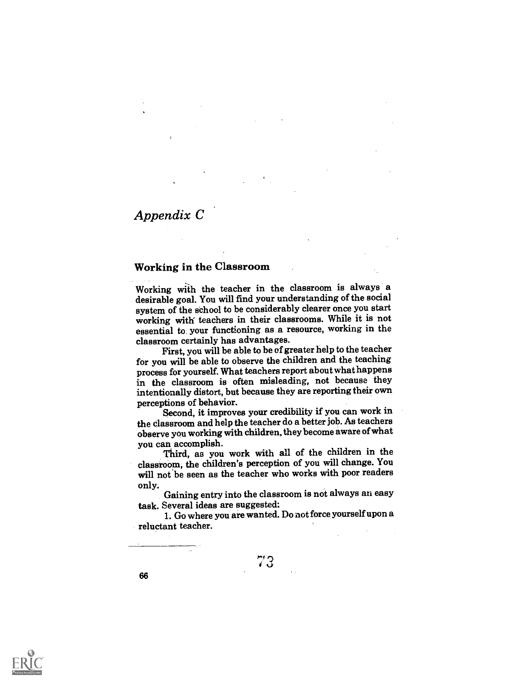## Appendix C

66

## Working in the Classroom

Working with the teacher in the classroom is always a desirable goal. You will find your understanding of the social system of the school to be considerably clearer once you start working with teachers in their classrooms. While it is not essential to your functioning as a resource, working in the classroom certainly has advantages.

First, you will be able to be of greater help to the teacher for you will be able to observe the children and the teaching process for yourself. What teachers report about what happens in the classroom is often misleading, not because they intentionally distort, but because they are reporting their own

perceptions of behavior. Second, it improves your credibility if you can work in the classroom and help the teacher do a better job. As teachers observe you working with children, they become aware of what

you can accomplish. Third, as you work with all of the children in the classroom, the children's perception of you will change. You will not 'be seen as the teacher who works with poor readers

only. Gaining entry into the classroom is not always an easy task. Several ideas are suggested:

1. Go where you are wanted. Do not force yourself upon a reluctant teacher.

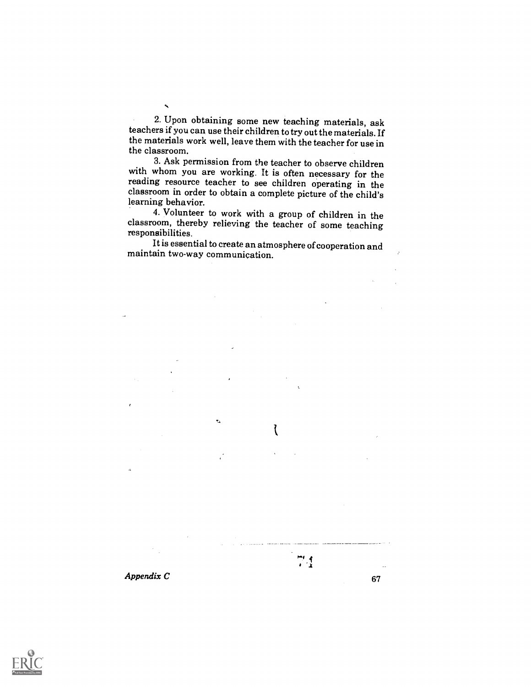2. Upon obtaining some new teaching materials, ask teachers if you can use their children to try out the materials. If the materials work well, leave them with the teacher for use in the classroom.

3. Ask permission from the teacher to observe children with whom you are working. It is often necessary for the reading resource teacher to see children operating in the classroom in order to obtain a complete picture of the child's learning behavior.

4. Volunteer to work with a group of children in the classroom, thereby relieving the teacher of some teaching responsibilities.

It is essential to create an atmosphere of cooperation and maintain two-way communication.

 $\boldsymbol{A}$ ppendix  $\boldsymbol{C}$  67

l

 $\frac{m}{2}$ 

 $\hat{\mathbf{z}}$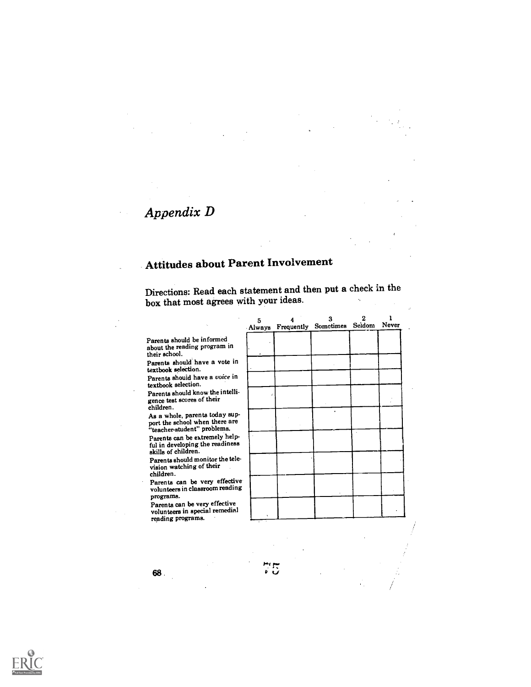## Appendix D

## Attitudes about Parent Involvement

Directions: Read each statement and then put a check in the box that most agrees with your ideas.

Parents should be informed about the reading program in their school.

Parents should have a vote in textbook selection.

Parents should have a voice in textbook selection.

Parents should know the intelligence test scores of their children.

As a whole, parents today sup-port the school when there are "teacher-student" problems.

Parents can be extremely helpful in developing the readiness skills of children.

Parents should monitor the television watching of their children.

Parents can be very effective volunteers in classroom reading programs.

Parents can be very effective volunteers in special remedial reading programs.

| 5 | з<br>Always Frequently Sometimes Seidom Never | 2 |  |
|---|-----------------------------------------------|---|--|
|   |                                               |   |  |
|   |                                               |   |  |
|   |                                               |   |  |
|   | $\bullet$                                     |   |  |
|   |                                               |   |  |
|   |                                               |   |  |
|   |                                               |   |  |
|   |                                               |   |  |
|   |                                               |   |  |